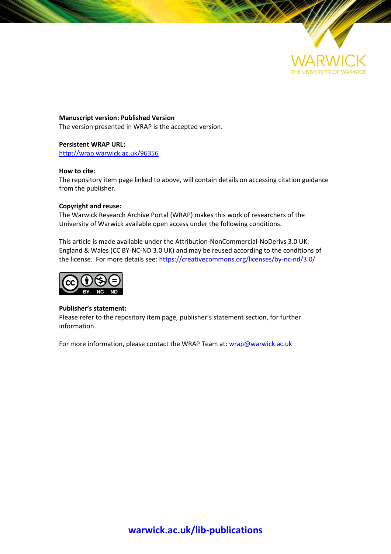

**Manuscript version: Published Version** The version presented in WRAP is the accepted version.

# **Persistent WRAP URL:**

http://wrap.warwick.ac.uk/96356

# **How to cite:**

The repository item page linked to above, will contain details on accessing citation guidance from the publisher.

## **Copyright and reuse:**

The Warwick Research Archive Portal (WRAP) makes this work of researchers of the University of Warwick available open access under the following conditions.

This article is made available under the Attribution-NonCommercial-NoDerivs 3.0 UK: England & Wales (CC BY-NC-ND 3.0 UK) and may be reused according to the conditions of the license. For more details see: https://creativecommons.org/licenses/by-nc-nd/3.0/



## **Publisher's statement:**

Please refer to the repository item page, publisher's statement section, for further information.

For more information, please contact the WRAP Team at[: wrap@warwick.ac.uk](mailto:wrap@warwick.ac.uk)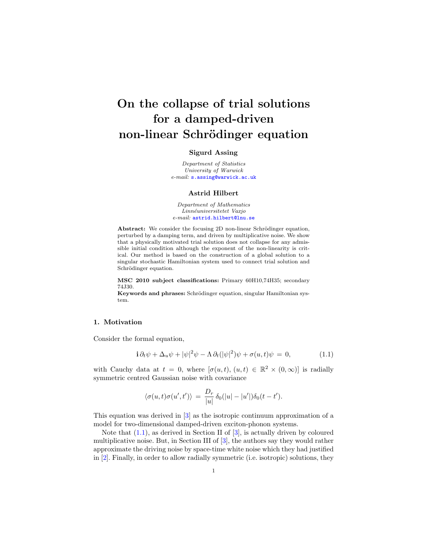# On the collapse of trial solutions for a damped-driven non-linear Schrödinger equation

### Sigurd Assing

Department of Statistics University of Warwick e-mail: [s.assing@warwick.ac.uk](mailto:s.assing@warwick.ac.uk)

#### Astrid Hilbert

Department of Mathematics Linnéuniversitetet Vaxjo e-mail: [astrid.hilbert@lnu.se](mailto:astrid.hilbert@lnu.se)

Abstract: We consider the focusing 2D non-linear Schrödinger equation, perturbed by a damping term, and driven by multiplicative noise. We show that a physically motivated trial solution does not collapse for any admissible initial condition although the exponent of the non-linearity is critical. Our method is based on the construction of a global solution to a singular stochastic Hamiltonian system used to connect trial solution and Schrödinger equation.

MSC 2010 subject classifications: Primary 60H10,74H35; secondary 74J30.

Keywords and phrases: Schrödinger equation, singular Hamiltonian system.

## 1. Motivation

Consider the formal equation,

<span id="page-1-0"></span>
$$
\mathbf{i}\,\partial_t\psi + \Delta_u\psi + |\psi|^2\psi - \Lambda\,\partial_t(|\psi|^2)\psi + \sigma(u,t)\psi = 0,\tag{1.1}
$$

with Cauchy data at  $t = 0$ , where  $[\sigma(u, t), (u, t) \in \mathbb{R}^2 \times (0, \infty)]$  is radially symmetric centred Gaussian noise with covariance

$$
\langle \sigma(u, t)\sigma(u', t')\rangle = \frac{D_r}{|u|} \delta_0(|u| - |u'|) \delta_0(t - t').
$$

This equation was derived in [\[3\]](#page-26-0) as the isotropic continuum approximation of a model for two-dimensional damped-driven exciton-phonon systems.

Note that  $(1.1)$ , as derived in Section II of  $[3]$ , is actually driven by coloured multiplicative noise. But, in Section III of [\[3\]](#page-26-0), the authors say they would rather approximate the driving noise by space-time white noise which they had justified in [\[2\]](#page-26-1). Finally, in order to allow radially symmetric (i.e. isotropic) solutions, they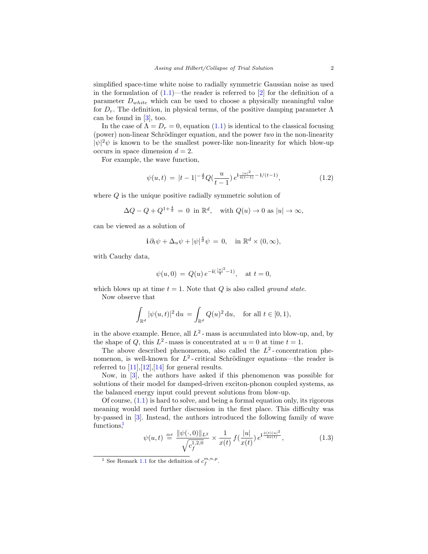simplified space-time white noise to radially symmetric Gaussian noise as used in the formulation of  $(1.1)$ —the reader is referred to  $[2]$  for the definition of a parameter  $D_{white}$  which can be used to choose a physically meaningful value for  $D_r$ . The definition, in physical terms, of the positive damping parameter  $\Lambda$ can be found in [\[3\]](#page-26-0), too.

In the case of  $\Lambda = D_r = 0$ , equation [\(1.1\)](#page-1-0) is identical to the classical focusing (power) non-linear Schrödinger equation, and the power  $two$  in the non-linearity  $|\psi|^2 \psi$  is known to be the smallest power-like non-linearity for which blow-up occurs in space dimension  $d = 2$ .

For example, the wave function,

<span id="page-2-1"></span>
$$
\psi(u,t) = |t-1|^{-\frac{d}{2}} Q(\frac{u}{t-1}) e^{i\frac{|u|^2}{4(t-1)} - i/(t-1)}, \tag{1.2}
$$

where Q is the unique positive radially symmetric solution of

$$
\Delta Q - Q + Q^{1 + \frac{4}{d}} = 0 \text{ in } \mathbb{R}^d, \text{ with } Q(u) \to 0 \text{ as } |u| \to \infty,
$$

can be viewed as a solution of

$$
\mathbf{i}\,\partial_t\psi + \Delta_u\psi + |\psi|^{\frac{4}{d}}\psi = 0, \quad \text{in } \mathbb{R}^d \times (0, \infty),
$$

with Cauchy data,

$$
\psi(u, 0) = Q(u) e^{-i(\frac{|u|^2}{4} - 1)}, \text{ at } t = 0,
$$

which blows up at time  $t = 1$ . Note that Q is also called ground state. Now observe that

$$
\int_{\mathbb{R}^d} |\psi(u,t)|^2 \, \mathrm{d}u = \int_{\mathbb{R}^d} Q(u)^2 \, \mathrm{d}u, \quad \text{for all } t \in [0,1),
$$

in the above example. Hence, all  $L^2$ -mass is accumulated into blow-up, and, by the shape of Q, this  $L^2$ -mass is concentrated at  $u = 0$  at time  $t = 1$ .

The above described phenomenon, also called the  $L^2$ -concentration phenomenon, is well-known for  $L^2$ -critical Schrödinger equations—the reader is referred to  $[11], [12], [14]$  $[11], [12], [14]$  $[11], [12], [14]$  $[11], [12], [14]$  for general results.

Now, in [\[3\]](#page-26-0), the authors have asked if this phenomenon was possible for solutions of their model for damped-driven exciton-phonon coupled systems, as the balanced energy input could prevent solutions from blow-up.

Of course, [\(1.1\)](#page-1-0) is hard to solve, and being a formal equation only, its rigorous meaning would need further discussion in the first place. This difficulty was by-passed in [\[3\]](#page-26-0). Instead, the authors introduced the following family of wave function[s,](#page-2-0)<sup>1</sup>

<span id="page-2-2"></span>
$$
\psi(u,t) \stackrel{\text{def}}{=} \frac{\|\psi(\cdot,0)\|_{L^2}}{\sqrt{c_f^{1,2,0}}} \times \frac{1}{x(t)} f(\frac{|u|}{x(t)}) e^{i\frac{\dot{x}(t)|u|^2}{4x(t)}},\tag{1.3}
$$

<span id="page-2-0"></span><sup>&</sup>lt;sup>1</sup> See Remark [1.1](#page-5-0) for the definition of  $c_f^{m,n,p}$ .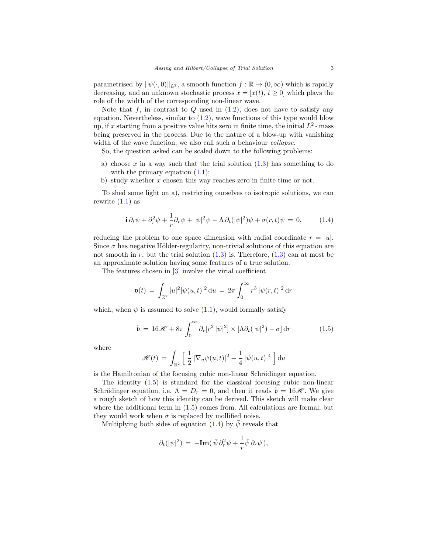parametrised by  $\|\psi(\cdot, 0)\|_{L^2}$ , a smooth function  $f : \mathbb{R} \to (0, \infty)$  which is rapidly decreasing, and an unknown stochastic process  $x = [x(t), t \ge 0]$  which plays the role of the width of the corresponding non-linear wave.

Note that f, in contrast to  $Q$  used in  $(1.2)$ , does not have to satisfy any equation. Nevertheless, similar to  $(1.2)$ , wave functions of this type would blow up, if x starting from a positive value hits zero in finite time, the initial  $L^2$ -mass being preserved in the process. Due to the nature of a blow-up with vanishing width of the wave function, we also call such a behaviour *collapse*.

So, the question asked can be scaled down to the following problems:

- a) choose x in a way such that the trial solution  $(1.3)$  has something to do with the primary equation  $(1.1)$ ;
- b) study whether  $x$  chosen this way reaches zero in finite time or not.

To shed some light on a), restricting ourselves to isotropic solutions, we can rewrite  $(1.1)$  as

<span id="page-3-1"></span>
$$
\mathbf{i}\,\partial_t\psi + \partial_r^2\psi + \frac{1}{r}\partial_r\psi + |\psi|^2\psi - \Lambda\,\partial_t(|\psi|^2)\psi + \sigma(r,t)\psi = 0,\tag{1.4}
$$

reducing the problem to one space dimension with radial coordinate  $r = |u|$ . Since  $\sigma$  has negative Hölder-regularity, non-trivial solutions of this equation are not smooth in r, but the trial solution  $(1.3)$  is. Therefore,  $(1.3)$  can at most be an approximate solution having some features of a true solution.

The features chosen in [\[3\]](#page-26-0) involve the virial coefficient

$$
\mathfrak{v}(t) \, = \, \int_{\mathbb{R}^2} |u|^2 |\psi(u,t)|^2 \, \mathrm{d}u \, = \, 2\pi \int_0^\infty r^3 \, |\psi(r,t)|^2 \, \mathrm{d}r
$$

which, when  $\psi$  is assumed to solve [\(1.1\)](#page-1-0), would formally satisfy

<span id="page-3-0"></span>
$$
\ddot{\mathfrak{v}} = 16\mathscr{H} + 8\pi \int_0^\infty \partial_r [r^2 |\psi|^2] \times [\Lambda \partial_t (|\psi|^2) - \sigma] dr \qquad (1.5)
$$

where

$$
\mathscr{H}(t) = \int_{\mathbb{R}^2} \left[ \frac{1}{2} |\nabla_u \psi(u,t)|^2 - \frac{1}{4} |\psi(u,t)|^4 \right] du
$$

is the Hamiltonian of the focusing cubic non-linear Schrödinger equation.

The identity [\(1.5\)](#page-3-0) is standard for the classical focusing cubic non-linear Schrödinger equation, i.e.  $\Lambda = D_r = 0$ , and then it reads  $\ddot{\mathfrak{v}} = 16\mathcal{H}$ . We give a rough sketch of how this identity can be derived. This sketch will make clear where the additional term in  $(1.5)$  comes from. All calculations are formal, but they would work when  $\sigma$  is replaced by mollified noise.

Multiplying both sides of equation [\(1.4\)](#page-3-1) by  $\bar{\psi}$  reveals that

$$
\partial_t(|\psi|^2) \,=\, -\mathrm{Im}(\,\bar{\psi}\,\partial_r^2\psi + \frac{1}{r}\bar{\psi}\,\partial_r\psi\,),
$$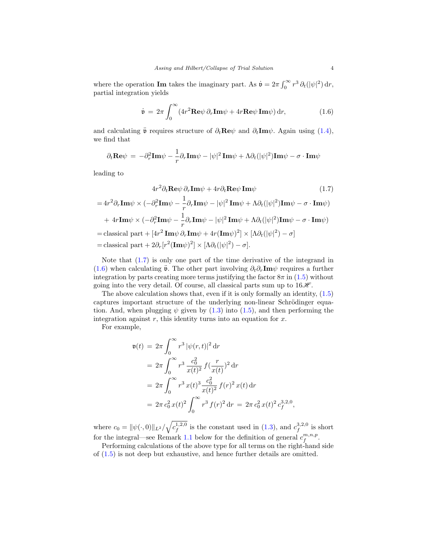where the operation **Im** takes the imaginary part. As  $\dot{\mathbf{v}} = 2\pi \int_0^\infty r^3 \, \partial_t (|\psi|^2) \, dr$ , partial integration yields

<span id="page-4-1"></span><span id="page-4-0"></span>
$$
\dot{\mathbf{v}} = 2\pi \int_0^\infty (4r^2 \mathbf{Re}\psi \, \partial_r \mathbf{Im}\psi + 4r \mathbf{Re}\psi \mathbf{Im}\psi) \, \mathrm{d}r,\tag{1.6}
$$

and calculating  $\ddot{\mathbf{v}}$  requires structure of  $\partial_t \mathbf{Re} \psi$  and  $\partial_t \mathbf{Im} \psi$ . Again using [\(1.4\)](#page-3-1), we find that

$$
\partial_t \mathbf{Re} \psi \,=\, -\partial_r^2 \mathbf{Im} \psi - \frac{1}{r} \partial_r \mathbf{Im} \psi - |\psi|^2 \, \mathbf{Im} \psi + \Lambda \partial_t (|\psi|^2) \mathbf{Im} \psi - \sigma \cdot \mathbf{Im} \psi
$$

leading to

$$
4r^2 \partial_t \mathbf{Re} \psi \, \partial_r \mathbf{Im} \psi + 4r \partial_t \mathbf{Re} \psi \, \mathbf{Im} \psi \qquad (1.7)
$$
  
=  $4r^2 \partial_r \mathbf{Im} \psi \times (-\partial_r^2 \mathbf{Im} \psi - \frac{1}{r} \partial_r \mathbf{Im} \psi - |\psi|^2 \mathbf{Im} \psi + \Lambda \partial_t (|\psi|^2) \mathbf{Im} \psi - \sigma \cdot \mathbf{Im} \psi)$   
+  $4r \mathbf{Im} \psi \times (-\partial_r^2 \mathbf{Im} \psi - \frac{1}{r} \partial_r \mathbf{Im} \psi - |\psi|^2 \mathbf{Im} \psi + \Lambda \partial_t (|\psi|^2) \mathbf{Im} \psi - \sigma \cdot \mathbf{Im} \psi)$   
= classical part +  $[4r^2 \mathbf{Im} \psi \partial_r \mathbf{Im} \psi + 4r(\mathbf{Im} \psi)^2] \times [\Lambda \partial_t (|\psi|^2) - \sigma]$   
= classical part +  $2\partial_r [r^2 (\mathbf{Im} \psi)^2] \times [\Lambda \partial_t (|\psi|^2) - \sigma]$ .

Note that [\(1.7\)](#page-4-0) is only one part of the time derivative of the integrand in [\(1.6\)](#page-4-1) when calculating  $\ddot{\mathbf{v}}$ . The other part involving  $\partial_t \partial_r \mathbf{Im} \psi$  requires a further integration by parts creating more terms justifying the factor  $8\pi$  in  $(1.5)$  without going into the very detail. Of course, all classical parts sum up to  $16\mathcal{H}$ .

The above calculation shows that, even if it is only formally an identity,  $(1.5)$ captures important structure of the underlying non-linear Schrödinger equation. And, when plugging  $\psi$  given by [\(1.3\)](#page-2-2) into [\(1.5\)](#page-3-0), and then performing the integration against  $r$ , this identity turns into an equation for  $x$ .

For example,

$$
\mathfrak{v}(t) = 2\pi \int_0^\infty r^3 |\psi(r,t)|^2 dr
$$
  
=  $2\pi \int_0^\infty r^3 \frac{c_0^2}{x(t)^2} f(\frac{r}{x(t)})^2 dr$   
=  $2\pi \int_0^\infty r^3 x(t)^3 \frac{c_0^2}{x(t)^2} f(r)^2 x(t) dr$   
=  $2\pi c_0^2 x(t)^2 \int_0^\infty r^3 f(r)^2 dr = 2\pi c_0^2 x(t)^2 c_f^{3,2,0},$ 

where  $c_0 = ||\psi(\cdot, 0)||_{L^2}/\sqrt{c_f^{1,2,0}}$  is the constant used in [\(1.3\)](#page-2-2), and  $c_f^{3,2,0}$  is short for the integral—see Remark [1.1](#page-5-0) below for the definition of general  $c_f^{m,n,p}$ .

Performing calculations of the above type for all terms on the right-hand side of [\(1.5\)](#page-3-0) is not deep but exhaustive, and hence further details are omitted.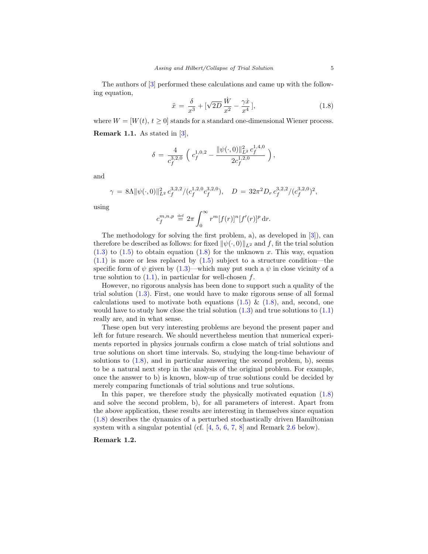The authors of [\[3\]](#page-26-0) performed these calculations and came up with the following equation,

<span id="page-5-1"></span>
$$
\ddot{x} = \frac{\delta}{x^3} + [\sqrt{2D} \frac{\dot{W}}{x^2} - \frac{\gamma \dot{x}}{x^4}],
$$
\n(1.8)

<span id="page-5-0"></span>where  $W = [W(t), t \geq 0]$  stands for a standard one-dimensional Wiener process. Remark 1.1. As stated in [\[3\]](#page-26-0),

$$
\delta\,=\,\frac{4}{c_f^{3,2,0}}\,\left(\,\,c_f^{1,0,2} - \frac{\|\psi(\cdot,0)\|_{L^2}^2\,c_f^{1,4,0}}{2c_f^{1,2,0}}\,\right),
$$

and

$$
\gamma = 8\Lambda \|\psi(\cdot,0)\|_{L^2}^2 c_f^{3,2,2} / (c_f^{1,2,0} c_f^{3,2,0}), \quad D = 32\pi^2 D_r c_f^{3,2,2} / (c_f^{3,2,0})^2,
$$

using

$$
c_f^{m,n,p} \stackrel{\text{def}}{=} 2\pi \int_0^\infty r^m [f(r)]^n [f'(r)]^p \, \mathrm{d}r.
$$

The methodology for solving the first problem, a), as developed in [\[3\]](#page-26-0)), can therefore be described as follows: for fixed  $\|\psi(\cdot, 0)\|_{L^2}$  and f, fit the trial solution  $(1.3)$  to  $(1.5)$  to obtain equation  $(1.8)$  for the unknown x. This way, equation  $(1.1)$  is more or less replaced by  $(1.5)$  subject to a structure condition—the specific form of  $\psi$  given by [\(1.3\)](#page-2-2)—which may put such a  $\psi$  in close vicinity of a true solution to  $(1.1)$ , in particular for well-chosen f.

However, no rigorous analysis has been done to support such a quality of the trial solution [\(1.3\)](#page-2-2). First, one would have to make rigorous sense of all formal calculations used to motivate both equations  $(1.5) \& (1.8)$  $(1.5) \& (1.8)$ , and, second, one would have to study how close the trial solution  $(1.3)$  and true solutions to  $(1.1)$ really are, and in what sense.

These open but very interesting problems are beyond the present paper and left for future research. We should nevertheless mention that numerical experiments reported in physics journals confirm a close match of trial solutions and true solutions on short time intervals. So, studying the long-time behaviour of solutions to  $(1.8)$ , and in particular answering the second problem, b), seems to be a natural next step in the analysis of the original problem. For example, once the answer to b) is known, blow-up of true solutions could be decided by merely comparing functionals of trial solutions and true solutions.

In this paper, we therefore study the physically motivated equation [\(1.8\)](#page-5-1) and solve the second problem, b), for all parameters of interest. Apart from the above application, these results are interesting in themselves since equation [\(1.8\)](#page-5-1) describes the dynamics of a perturbed stochastically driven Hamiltonian system with a singular potential (cf. [\[4,](#page-26-5) [5,](#page-26-6) [6,](#page-26-7) [7,](#page-26-8) [8\]](#page-26-9) and Remark [2.6](#page-9-0) below).

Remark 1.2.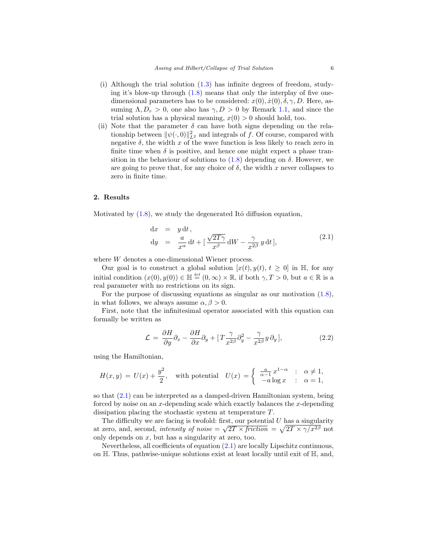- (i) Although the trial solution [\(1.3\)](#page-2-2) has infinite degrees of freedom, studying it's blow-up through  $(1.8)$  means that only the interplay of five onedimensional parameters has to be considered:  $x(0), \dot{x}(0), \delta, \gamma, D$ . Here, assuming  $\Lambda, D_r > 0$ , one also has  $\gamma, D > 0$  by Remark [1.1,](#page-5-0) and since the trial solution has a physical meaning,  $x(0) > 0$  should hold, too.
- (ii) Note that the parameter  $\delta$  can have both signs depending on the relationship between  $\|\psi(\cdot, 0)\|_{L^2}^2$  and integrals of f. Of course, compared with negative  $\delta$ , the width x of the wave function is less likely to reach zero in finite time when  $\delta$  is positive, and hence one might expect a phase transition in the behaviour of solutions to  $(1.8)$  depending on  $\delta$ . However, we are going to prove that, for any choice of  $\delta$ , the width x never collapses to zero in finite time.

#### <span id="page-6-2"></span>2. Results

Motivated by  $(1.8)$ , we study the degenerated Itô diffusion equation,

<span id="page-6-0"></span>
$$
dx = y dt,\n dy = \frac{a}{x^{\alpha}} dt + \left[\frac{\sqrt{2T\gamma}}{x^{\beta}} dW - \frac{\gamma}{x^{2\beta}} y dt\right],
$$
\n(2.1)

where W denotes a one-dimensional Wiener process.

Our goal is to construct a global solution  $[x(t), y(t), t \geq 0]$  in H, for any initial condition  $(x(0), y(0)) \in \mathbb{H} \stackrel{\text{def}}{=} (0, \infty) \times \mathbb{R}$ , if both  $\gamma, T > 0$ , but  $a \in \mathbb{R}$  is a real parameter with no restrictions on its sign.

For the purpose of discussing equations as singular as our motivation [\(1.8\)](#page-5-1), in what follows, we always assume  $\alpha, \beta > 0$ .

First, note that the infinitesimal operator associated with this equation can formally be written as

<span id="page-6-1"></span>
$$
\mathcal{L} = \frac{\partial H}{\partial y} \partial_x - \frac{\partial H}{\partial x} \partial_y + \left[ T \frac{\gamma}{x^{2\beta}} \partial_y^2 - \frac{\gamma}{x^{2\beta}} y \partial_y \right],
$$
\n(2.2)

using the Hamiltonian,

$$
H(x,y) = U(x) + \frac{y^2}{2}, \quad \text{with potential} \quad U(x) = \begin{cases} \frac{a}{\alpha - 1} x^{1 - \alpha} & \text{: } \alpha \neq 1, \\ -a \log x & \text{: } \alpha = 1, \end{cases}
$$

so that [\(2.1\)](#page-6-0) can be interpreted as a damped-driven Hamiltonian system, being forced by noise on an  $x$ -depending scale which exactly balances the  $x$ -depending dissipation placing the stochastic system at temperature T.

The difficulty we are facing is twofold: first, our potential U has a singularity at zero, and, second, *intensity of noise* =  $\sqrt{2T} \times \text{friction} = \sqrt{2T} \times \gamma/x^{2\beta}$  not only depends on x, but has a singularity at zero, too.

Nevertheless, all coefficients of equation [\(2.1\)](#page-6-0) are locally Lipschitz continuous, on H. Thus, pathwise-unique solutions exist at least locally until exit of H, and,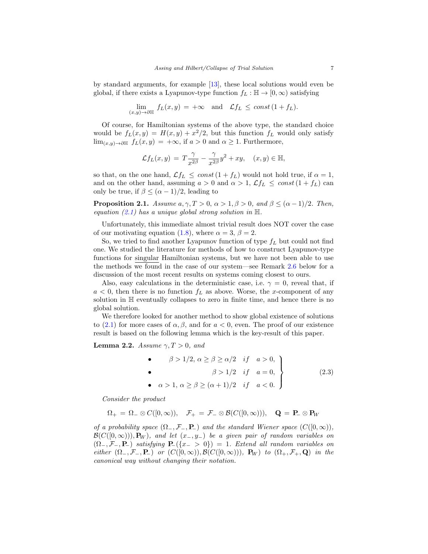by standard arguments, for example [\[13\]](#page-26-10), these local solutions would even be global, if there exists a Lyapunov-type function  $f_L : \mathbb{H} \to [0, \infty)$  satisfying

$$
\lim_{(x,y)\to\partial\mathbb{H}} f_L(x,y) = +\infty \quad \text{and} \quad \mathcal{L}f_L \leq \text{const } (1+f_L).
$$

Of course, for Hamiltonian systems of the above type, the standard choice would be  $f_L(x,y) = H(x,y) + x^2/2$ , but this function  $f_L$  would only satisfy lim<sub> $(x,y)$ →∂H  $f_L(x,y) = +\infty$ , if  $a > 0$  and  $\alpha \ge 1$ . Furthermore,</sub>

$$
\mathcal{L} f_L(x,y)\,=\, T\frac{\gamma}{x^{2\beta}}-\frac{\gamma}{x^{2\beta}}y^2+xy,\quad (x,y)\in \mathbb{H},
$$

so that, on the one hand,  $\mathcal{L}f_L \leq const(1+f_L)$  would not hold true, if  $\alpha = 1$ , and on the other hand, assuming  $a > 0$  and  $\alpha > 1$ ,  $\mathcal{L}f_L \leq const(1 + f_L)$  can only be true, if  $\beta \leq (\alpha - 1)/2$ , leading to

<span id="page-7-1"></span>**Proposition 2.1.** Assume  $a, \gamma, T > 0$ ,  $\alpha > 1, \beta > 0$ , and  $\beta \leq (\alpha - 1)/2$ . Then, equation  $(2.1)$  has a unique global strong solution in  $\mathbb{H}$ .

Unfortunately, this immediate almost trivial result does NOT cover the case of our motivating equation [\(1.8\)](#page-5-1), where  $\alpha = 3, \beta = 2$ .

So, we tried to find another Lyapunov function of type  $f_L$  but could not find one. We studied the literature for methods of how to construct Lyapunov-type functions for singular Hamiltonian systems, but we have not been able to use the methods we found in the case of our system—see Remark [2.6](#page-9-0) below for a discussion of the most recent results on systems coming closest to ours.

Also, easy calculations in the deterministic case, i.e.  $\gamma = 0$ , reveal that, if  $a < 0$ , then there is no function  $f<sub>L</sub>$  as above. Worse, the x-component of any solution in H eventually collapses to zero in finite time, and hence there is no global solution.

We therefore looked for another method to show global existence of solutions to [\(2.1\)](#page-6-0) for more cases of  $\alpha$ ,  $\beta$ , and for  $a < 0$ , even. The proof of our existence result is based on the following lemma which is the key-result of this paper.

<span id="page-7-2"></span>**Lemma 2.2.** Assume  $\gamma, T > 0$ , and

<span id="page-7-0"></span>\n- \n
$$
\begin{aligned}\n &\beta > 1/2, \, \alpha \geq \beta \geq \alpha/2 & \text{if } a > 0, \\
&\beta > 1/2 & \text{if } a = 0, \\
&\alpha > 1, \, \alpha \geq \beta \geq (\alpha + 1)/2 & \text{if } a < 0.\n \end{aligned}
$$
\n
\n- \n $(2.3)$ \n
\n

Consider the product

$$
\Omega_+ = \Omega_- \otimes C([0,\infty)), \quad \mathcal{F}_+ = \mathcal{F}_- \otimes \mathcal{B}(C([0,\infty))), \quad \mathbf{Q} = \mathbf{P}_- \otimes \mathbf{P}_W
$$

of a probability space  $(\Omega_-, \mathcal{F}_-, \mathbf{P}_-)$  and the standard Wiener space  $(C([0,\infty)),$  $\mathcal{B}(C([0,\infty)))$ ,  $\mathbf{P}_W$ ), and let  $(x_-, y_-)$  be a given pair of random variables on  $(\Omega_-, \mathcal{F}_-, \mathbf{P}_-)$  satisfying  $\mathbf{P}_-(\{x_- > 0\}) = 1$ . Extend all random variables on either  $(\Omega_-, \mathcal{F}_-, \mathbf{P}_-)$  or  $(C([0,\infty)), \mathcal{B}(C([0,\infty)))$ ,  $\mathbf{P}_W)$  to  $(\Omega_+, \mathcal{F}_+, \mathbf{Q})$  in the canonical way without changing their notation.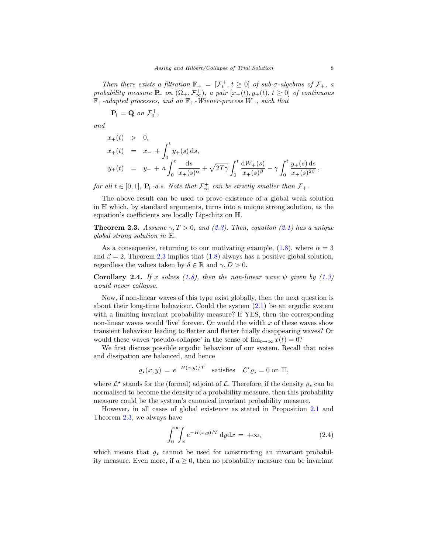Then there exists a filtration  $\mathbb{F}_+ = [\mathcal{F}_t^+, t \geq 0]$  of sub- $\sigma$ -algebras of  $\mathcal{F}_+$ , a probability measure  $P_+$  on  $(\Omega_+, \mathcal{F}_{\infty}^+)$ , a pair  $[x_+(t), y_+(t), t \geq 0]$  of continuous  $\mathbb{F}_+$ -adapted processes, and an  $\mathbb{F}_+$ -Wiener-process  $W_+$ , such that

$$
\mathbf{P}_{\!+} = \mathbf{Q} \text{ on } \mathcal{F}^+_0,
$$

and

$$
x_{+}(t) > 0,
$$
  
\n
$$
x_{+}(t) = x_{-} + \int_{0}^{t} y_{+}(s) ds,
$$
  
\n
$$
y_{+}(t) = y_{-} + a \int_{0}^{t} \frac{ds}{x_{+}(s)^{\alpha}} + \sqrt{2T\gamma} \int_{0}^{t} \frac{dW_{+}(s)}{x_{+}(s)^{\beta}} - \gamma \int_{0}^{t} \frac{y_{+}(s) ds}{x_{+}(s)^{2\beta}},
$$

for all  $t \in [0,1]$ ,  $P_+$ -a.s. Note that  $\mathcal{F}_{\infty}^+$  can be strictly smaller than  $\mathcal{F}_+$ .

The above result can be used to prove existence of a global weak solution in H which, by standard arguments, turns into a unique strong solution, as the equation's coefficients are locally Lipschitz on H.

<span id="page-8-0"></span>**Theorem 2.3.** Assume  $\gamma$ ,  $T > 0$ , and [\(2.3\)](#page-7-0). Then, equation [\(2.1\)](#page-6-0) has a unique global strong solution in H.

As a consequence, returning to our motivating example, [\(1.8\)](#page-5-1), where  $\alpha = 3$ and  $\beta = 2$ , Theorem [2.3](#page-8-0) implies that [\(1.8\)](#page-5-1) always has a positive global solution, regardless the values taken by  $\delta \in \mathbb{R}$  and  $\gamma, D > 0$ .

**Corollary 2.4.** If x solves [\(1.8\)](#page-5-1), then the non-linear wave  $\psi$  given by [\(1.3\)](#page-2-2) would never collapse.

Now, if non-linear waves of this type exist globally, then the next question is about their long-time behaviour. Could the system [\(2.1\)](#page-6-0) be an ergodic system with a limiting invariant probability measure? If YES, then the corresponding non-linear waves would 'live' forever. Or would the width  $x$  of these waves show transient behaviour leading to flatter and flatter finally disappearing waves? Or would these waves 'pseudo-collapse' in the sense of  $\lim_{t\to\infty} x(t) = 0$ ?

We first discuss possible ergodic behaviour of our system. Recall that noise and dissipation are balanced, and hence

$$
\varrho_{\star}(x, y) = e^{-H(x, y)/T}
$$
 satisfies  $\mathcal{L}^{\star} \varrho_{\star} = 0$  on  $\mathbb{H}$ ,

where  $\mathcal{L}^*$  stands for the (formal) adjoint of  $\mathcal{L}$ . Therefore, if the density  $\varrho_{*}$  can be normalised to become the density of a probability measure, then this probability measure could be the system's canonical invariant probability measure.

However, in all cases of global existence as stated in Proposition [2.1](#page-7-1) and Theorem [2.3,](#page-8-0) we always have

<span id="page-8-1"></span>
$$
\int_0^\infty \int_{\mathbb{R}} e^{-H(x,y)/T} \, \mathrm{d}y \mathrm{d}x = +\infty,\tag{2.4}
$$

which means that  $\rho_{\star}$  cannot be used for constructing an invariant probability measure. Even more, if  $a \geq 0$ , then no probability measure can be invariant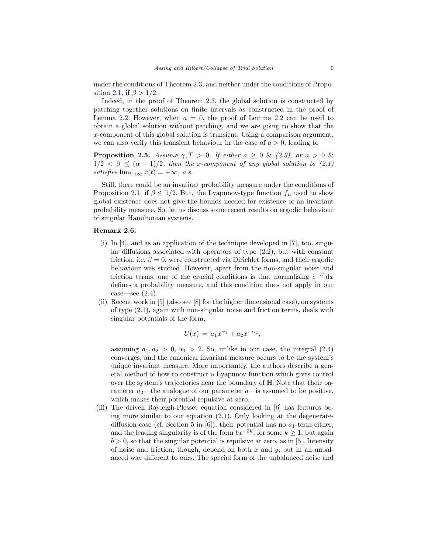under the conditions of Theorem [2.3,](#page-8-0) and neither under the conditions of Propo-sition [2.1,](#page-7-1) if  $\beta > 1/2$ .

Indeed, in the proof of Theorem [2.3,](#page-8-0) the global solution is constructed by patching together solutions on finite intervals as constructed in the proof of Lemma [2.2.](#page-7-2) However, when  $a = 0$ , the proof of Lemma [2.2](#page-7-2) can be used to obtain a global solution without patching, and we are going to show that the x-component of this global solution is transient. Using a comparison argument, we can also verify this transient behaviour in the case of  $a > 0$ , leading to

<span id="page-9-1"></span>**Proposition 2.5.** Assume  $\gamma, T > 0$ . If either  $a \geq 0$  & [\(2.3\)](#page-7-0), or  $a > 0$  &  $1/2 < \beta \leq (\alpha - 1)/2$ , then the x-component of any global solution to  $(2.1)$ satisfies  $\lim_{t\to\infty} x(t) = +\infty$ , a.s.

Still, there could be an invariant probability measure under the conditions of Proposition [2.1,](#page-7-1) if  $\beta \leq 1/2$ . But, the Lyapunov-type function  $f_L$  used to show global existence does not give the bounds needed for existence of an invariant probability measure. So, let us discuss some recent results on ergodic behaviour of singular Hamiltonian systems.

### <span id="page-9-0"></span>Remark 2.6.

- (i) In  $[4]$ , and as an application of the technique developed in [\[7\]](#page-26-8), too, singular diffusions associated with operators of type  $(2.2)$ , but with constant friction, i.e.  $\beta = 0$ , were constructed via Dirichlet forms, and their ergodic behaviour was studied. However, apart from the non-singular noise and friction terms, one of the crucial conditions is that normalising  $e^{-U} dx$ defines a probability measure, and this condition does not apply in our case—see  $(2.4)$ .
- (ii) Recent work in  $[5]$  (also see  $[8]$  for the higher dimensional case), on systems of type  $(2.1)$ , again with non-singular noise and friction terms, deals with singular potentials of the form,

$$
U(x) = a_1 x^{\alpha_1} + a_2 x^{-\alpha_2},
$$

assuming  $a_1, a_2 > 0, \alpha_1 > 2$ . So, unlike in our case, the integral  $(2.4)$ converges, and the canonical invariant measure occurs to be the system's unique invariant measure. More importantly, the authors describe a general method of how to construct a Lyapunov function which gives control over the system's trajectories near the boundary of H. Note that their parameter  $a_2$ —the analogue of our parameter  $a$ —is assumed to be positive, which makes their potential repulsive at zero.

(iii) The driven Rayleigh-Plesset equation considered in [\[6\]](#page-26-7) has features being more similar to our equation  $(2.1)$ . Only looking at the degeneratediffusion-case (cf. Section 5 in  $[6]$ ), their potential has no  $a_1$ -term either, and the leading singularity is of the form  $bx^{-3k}$ , for some  $k \geq 1$ , but again  $b > 0$ , so that the singular potential is repulsive at zero, as in [\[5\]](#page-26-6). Intensity of noise and friction, though, depend on both  $x$  and  $y$ , but in an unbalanced way different to ours. The special form of the unbalanced noise and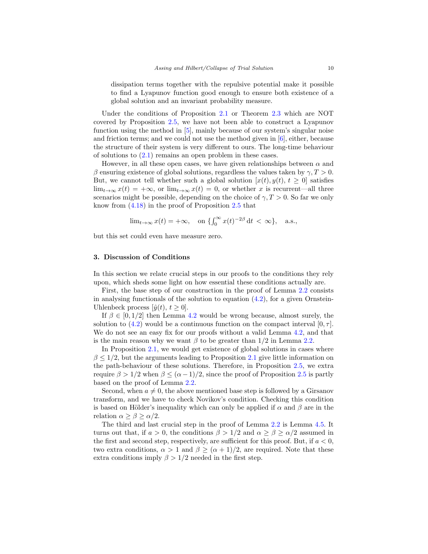dissipation terms together with the repulsive potential make it possible to find a Lyapunov function good enough to ensure both existence of a global solution and an invariant probability measure.

Under the conditions of Proposition [2.1](#page-7-1) or Theorem [2.3](#page-8-0) which are NOT covered by Proposition [2.5,](#page-9-1) we have not been able to construct a Lyapunov function using the method in [\[5\]](#page-26-6), mainly because of our system's singular noise and friction terms; and we could not use the method given in [\[6\]](#page-26-7), either, because the structure of their system is very different to ours. The long-time behaviour of solutions to  $(2.1)$  remains an open problem in these cases.

However, in all these open cases, we have given relationships between  $\alpha$  and β ensuring existence of global solutions, regardless the values taken by  $γ, T > 0$ . But, we cannot tell whether such a global solution  $[x(t), y(t), t \ge 0]$  satisfies  $\lim_{t\to\infty}x(t) = +\infty$ , or  $\lim_{t\to\infty}x(t) = 0$ , or whether x is recurrent—all three scenarios might be possible, depending on the choice of  $\gamma$ ,  $T > 0$ . So far we only know from [\(4.18\)](#page-25-0) in the proof of Proposition [2.5](#page-9-1) that

$$
\lim_{t \to \infty} x(t) = +\infty, \quad \text{on } \{\int_0^\infty x(t)^{-2\beta} dt < \infty\}, \quad \text{a.s.},
$$

but this set could even have measure zero.

#### 3. Discussion of Conditions

In this section we relate crucial steps in our proofs to the conditions they rely upon, which sheds some light on how essential these conditions actually are.

First, the base step of our construction in the proof of Lemma [2.2](#page-7-2) consists in analysing functionals of the solution to equation  $(4.2)$ , for a given Ornstein-Uhlenbeck process  $[\hat{y}(t), t \geq 0]$ .

If  $\beta \in [0, 1/2]$  then Lemma [4.2](#page-13-0) would be wrong because, almost surely, the solution to  $(4.2)$  would be a continuous function on the compact interval  $[0, \tau]$ . We do not see an easy fix for our proofs without a valid Lemma [4.2,](#page-13-0) and that is the main reason why we want  $\beta$  to be greater than 1/2 in Lemma [2.2.](#page-7-2)

In Proposition [2.1,](#page-7-1) we would get existence of global solutions in cases where  $\beta \leq 1/2$ , but the arguments leading to Proposition [2.1](#page-7-1) give little information on the path-behaviour of these solutions. Therefore, in Proposition [2.5,](#page-9-1) we extra require  $\beta > 1/2$  when  $\beta \leq (\alpha - 1)/2$ , since the proof of Proposition [2.5](#page-9-1) is partly based on the proof of Lemma [2.2.](#page-7-2)

Second, when  $a \neq 0$ , the above mentioned base step is followed by a Girsanov transform, and we have to check Novikov's condition. Checking this condition is based on Hölder's inequality which can only be applied if  $\alpha$  and  $\beta$  are in the relation  $\alpha \geq \beta \geq \alpha/2$ .

The third and last crucial step in the proof of Lemma [2.2](#page-7-2) is Lemma [4.5.](#page-14-0) It turns out that, if  $a > 0$ , the conditions  $\beta > 1/2$  and  $\alpha \ge \beta \ge \alpha/2$  assumed in the first and second step, respectively, are sufficient for this proof. But, if  $a < 0$ , two extra conditions,  $\alpha > 1$  and  $\beta \geq (\alpha + 1)/2$ , are required. Note that these extra conditions imply  $\beta > 1/2$  needed in the first step.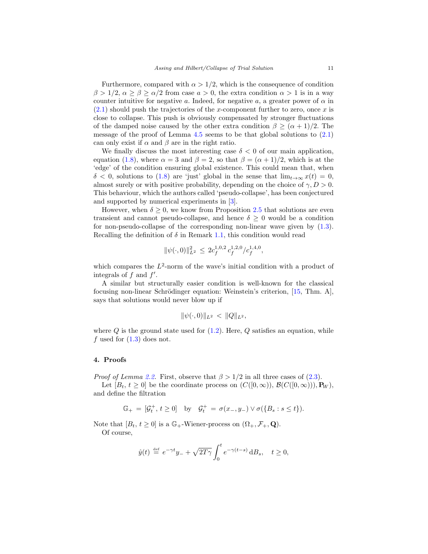Furthermore, compared with  $\alpha > 1/2$ , which is the consequence of condition  $\beta > 1/2, \alpha \ge \beta \ge \alpha/2$  from case  $a > 0$ , the extra condition  $\alpha > 1$  is in a way counter intuitive for negative a. Indeed, for negative a, a greater power of  $\alpha$  in  $(2.1)$  should push the trajectories of the x-component further to zero, once x is close to collapse. This push is obviously compensated by stronger fluctuations of the damped noise caused by the other extra condition  $\beta \geq (\alpha + 1)/2$ . The message of the proof of Lemma  $4.5$  seems to be that global solutions to  $(2.1)$ can only exist if  $\alpha$  and  $\beta$  are in the right ratio.

We finally discuss the most interesting case  $\delta < 0$  of our main application, equation [\(1.8\)](#page-5-1), where  $\alpha = 3$  and  $\beta = 2$ , so that  $\beta = (\alpha + 1)/2$ , which is at the 'edge' of the condition ensuring global existence. This could mean that, when  $\delta$  < 0, solutions to [\(1.8\)](#page-5-1) are 'just' global in the sense that  $\lim_{t\to\infty} x(t) = 0$ , almost surely or with positive probability, depending on the choice of  $\gamma, D > 0$ . This behaviour, which the authors called 'pseudo-collapse', has been conjectured and supported by numerical experiments in [\[3\]](#page-26-0).

However, when  $\delta \geq 0$ , we know from Proposition [2.5](#page-9-1) that solutions are even transient and cannot pseudo-collapse, and hence  $\delta \geq 0$  would be a condition for non-pseudo-collapse of the corresponding non-linear wave given by  $(1.3)$ . Recalling the definition of  $\delta$  in Remark [1.1,](#page-5-0) this condition would read

$$
\|\psi(\cdot,0)\|_{L^2}^2\,\leq\,2c_f^{1,0,2}\,c_f^{1,2,0}/c_f^{1,4,0},
$$

which compares the  $L^2$ -norm of the wave's initial condition with a product of integrals of  $f$  and  $f'$ .

A similar but structurally easier condition is well-known for the classical focusing non-linear Schrödinger equation: Weinstein's criterion, [\[15,](#page-27-0) Thm. A], says that solutions would never blow up if

$$
\|\psi(\cdot,0)\|_{L^2} < \|Q\|_{L^2},
$$

where  $Q$  is the ground state used for  $(1.2)$ . Here,  $Q$  satisfies an equation, while f used for  $(1.3)$  does not.

#### 4. Proofs

*Proof of Lemma [2.2.](#page-7-2)* First, observe that  $\beta > 1/2$  in all three cases of [\(2.3\)](#page-7-0).

Let  $[B_t, t \geq 0]$  be the coordinate process on  $(C([0,\infty)), \mathcal{B}(C([0,\infty))), \mathbf{P}_W)$ , and define the filtration

$$
\mathbb{G}_{+} \,=\, [\mathcal{G}^+_t, \, t\geq 0] \quad \text{by} \quad \mathcal{G}^+_t \,=\, \sigma(x_-,y_-) \vee \sigma(\{B_s:s\leq t\}).
$$

Note that  $[B_t, t \geq 0]$  is a  $\mathbb{G}_+$ -Wiener-process on  $(\Omega_+, \mathcal{F}_+, \mathbf{Q})$ . Of course,

$$
\hat{y}(t) \stackrel{\text{def}}{=} e^{-\gamma t}y_- + \sqrt{2T\gamma} \int_0^t e^{-\gamma(t-s)} \, \mathrm{d}B_s, \quad t \ge 0,
$$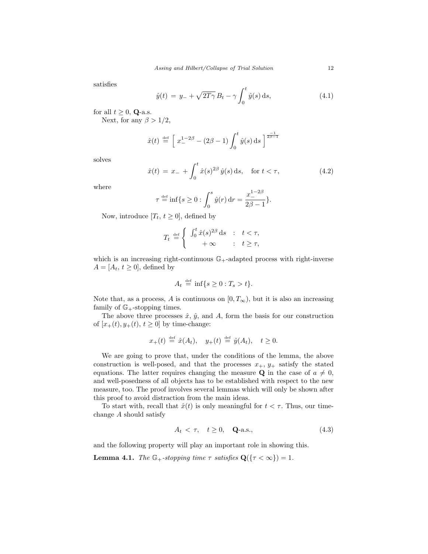satisfies

<span id="page-12-2"></span>
$$
\hat{y}(t) = y_{-} + \sqrt{2T\gamma} B_t - \gamma \int_0^t \hat{y}(s) \, ds,\tag{4.1}
$$

for all  $t \geq 0$ , **Q-a.s.** 

Next, for any  $\beta > 1/2$ ,

$$
\hat{x}(t) \stackrel{\text{def}}{=} \left[ x_{-}^{1-2\beta} - (2\beta - 1) \int_0^t \hat{y}(s) \, ds \right]^{\frac{-1}{2\beta - 1}}
$$

solves

<span id="page-12-0"></span>
$$
\hat{x}(t) = x_{-} + \int_{0}^{t} \hat{x}(s)^{2\beta} \hat{y}(s) \, \mathrm{d}s, \quad \text{for } t < \tau,\tag{4.2}
$$

where

$$
\tau \stackrel{\text{def}}{=} \inf \{ s \ge 0 : \int_0^s \hat{y}(r) \, dr = \frac{x_-^{1-2\beta}}{2\beta - 1} \}.
$$

Now, introduce  $[T_t, t \geq 0]$ , defined by

$$
T_t \stackrel{\text{def}}{=} \begin{cases} \int_0^t \hat{x}(s)^{2\beta} ds & : & t < \tau, \\ & +\infty & : & t \geq \tau, \end{cases}
$$

which is an increasing right-continuous  $\mathbb{G}_+$ -adapted process with right-inverse  $A = [A_t, t \geq 0]$ , defined by

$$
A_t \stackrel{\text{def}}{=} \inf\{s \ge 0 : T_s > t\}.
$$

Note that, as a process, A is continuous on  $[0, T_{\infty})$ , but it is also an increasing family of  $\mathbb{G}_{+}$ -stopping times.

The above three processes  $\hat{x}, \hat{y}$ , and A, form the basis for our construction of  $[x_+(t), y_+(t), t \ge 0]$  by time-change:

$$
x_+(t) \stackrel{\text{def}}{=} \hat{x}(A_t), \quad y_+(t) \stackrel{\text{def}}{=} \hat{y}(A_t), \quad t \ge 0.
$$

We are going to prove that, under the conditions of the lemma, the above construction is well-posed, and that the processes  $x_+, y_+$  satisfy the stated equations. The latter requires changing the measure **Q** in the case of  $a \neq 0$ , and well-posedness of all objects has to be established with respect to the new measure, too. The proof involves several lemmas which will only be shown after this proof to avoid distraction from the main ideas.

To start with, recall that  $\hat{x}(t)$  is only meaningful for  $t < \tau$ . Thus, our timechange A should satisfy

<span id="page-12-1"></span>
$$
A_t < \tau, \quad t \ge 0, \quad \mathbf{Q}\text{-a.s.},\tag{4.3}
$$

and the following property will play an important role in showing this.

<span id="page-12-3"></span>**Lemma 4.1.** The  $\mathbb{G}_+$ -stopping time  $\tau$  satisfies  $\mathbf{Q}(\{\tau < \infty\}) = 1$ .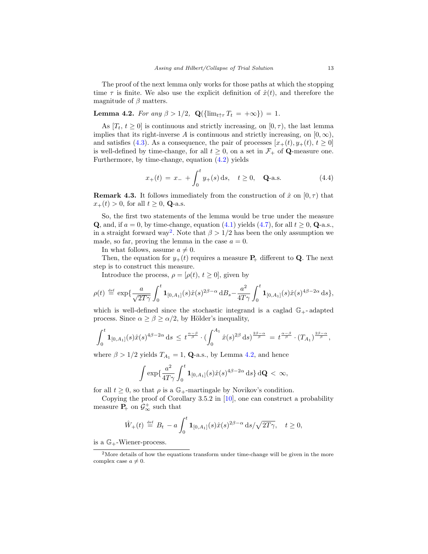The proof of the next lemma only works for those paths at which the stopping time  $\tau$  is finite. We also use the explicit definition of  $\hat{x}(t)$ , and therefore the magnitude of  $\beta$  matters.

<span id="page-13-0"></span>Lemma 4.2. For any  $\beta > 1/2$ ,  $\mathbf{Q}(\{\lim_{t \uparrow \tau} T_t = +\infty\}) = 1$ .

As  $[T_t, t \geq 0]$  is continuous and strictly increasing, on  $[0, \tau)$ , the last lemma implies that its right-inverse A is continuous and strictly increasing, on  $[0, \infty)$ , and satisfies [\(4.3\)](#page-12-1). As a consequence, the pair of processes  $[x_+(t), y_+(t), t \ge 0]$ is well-defined by time-change, for all  $t \geq 0$ , on a set in  $\mathcal{F}_+$  of **Q**-measure one. Furthermore, by time-change, equation [\(4.2\)](#page-12-0) yields

<span id="page-13-2"></span>
$$
x_{+}(t) = x_{-} + \int_{0}^{t} y_{+}(s) \, \mathrm{d}s, \quad t \ge 0, \quad \mathbf{Q}\text{-a.s.} \tag{4.4}
$$

<span id="page-13-3"></span>**Remark 4.3.** It follows immediately from the construction of  $\hat{x}$  on  $[0, \tau)$  that  $x_+(t) > 0$ , for all  $t \ge 0$ , **Q**-a.s.

So, the first two statements of the lemma would be true under the measure **Q**, and, if  $a = 0$ , by time-change, equation [\(4.1\)](#page-12-2) yields [\(4.7\)](#page-15-0), for all  $t \geq 0$ , **Q**-a.s., in a straight forward way<sup>[2](#page-13-1)</sup>. Note that  $\beta > 1/2$  has been the only assumption we made, so far, proving the lemma in the case  $a = 0$ .

In what follows, assume  $a \neq 0$ .

Then, the equation for  $y_+(t)$  requires a measure  $P_+$  different to Q. The next step is to construct this measure.

Introduce the process,  $\rho = [\rho(t), t \geq 0]$ , given by

$$
\rho(t) \stackrel{\text{def}}{=} \exp\{\frac{a}{\sqrt{2T\gamma}} \int_0^t \mathbf{1}_{[0,A_1]}(s)\hat{x}(s)^{2\beta-\alpha} \, \mathrm{d}B_s - \frac{a^2}{4T\gamma} \int_0^t \mathbf{1}_{[0,A_1]}(s)\hat{x}(s)^{4\beta-2\alpha} \, \mathrm{d}s\},\
$$

which is well-defined since the stochastic integrand is a caglad  $\mathbb{G}_+$ -adapted process. Since  $\alpha \ge \beta \ge \alpha/2$ , by Hölder's inequality,

$$
\int_0^t \mathbf{1}_{[0,A_1]}(s)\hat{x}(s)^{4\beta-2\alpha} ds \leq t^{\frac{\alpha-\beta}{\beta}} \cdot \left(\int_0^{A_1} \hat{x}(s)^{2\beta} ds\right)^{\frac{2\beta-\alpha}{\beta}} = t^{\frac{\alpha-\beta}{\beta}} \cdot (T_{A_1})^{\frac{2\beta-\alpha}{\beta}},
$$

where  $\beta > 1/2$  yields  $T_{A_1} = 1$ , **Q**-a.s., by Lemma [4.2,](#page-13-0) and hence

$$
\int \exp\{\frac{a^2}{4T\gamma}\int_0^t \mathbf{1}_{[0,A_1]}(s)\hat{x}(s)^{4\beta-2\alpha}\,\mathrm{d} s\}\,\mathrm{d}\mathbf{Q} \, < \, \infty,
$$

for all  $t \geq 0$ , so that  $\rho$  is a  $\mathbb{G}_+$ -martingale by Novikov's condition.

Copying the proof of Corollary 3.5.2 in [\[10\]](#page-26-11), one can construct a probability measure  $P_+$  on  $\mathcal{G}^+_{\infty}$  such that

$$
\hat{W}_+(t) \stackrel{\text{def}}{=} B_t - a \int_0^t \mathbf{1}_{[0,A_1]}(s)\hat{x}(s)^{2\beta-\alpha} \,ds / \sqrt{2T\gamma}, \quad t \ge 0,
$$

is a  $\mathbb{G}_{+}$ -Wiener-process.

<span id="page-13-1"></span><sup>&</sup>lt;sup>2</sup>More details of how the equations transform under time-change will be given in the more complex case  $a \neq 0$ .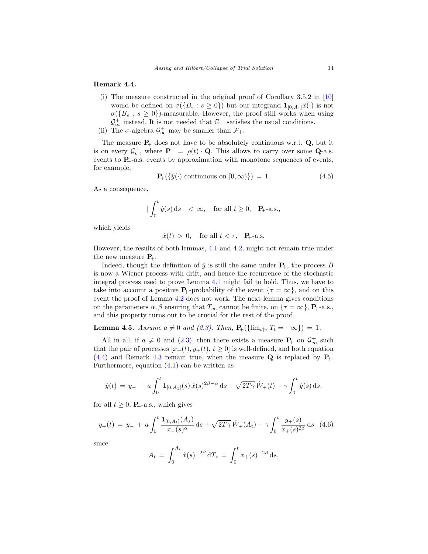#### <span id="page-14-3"></span>Remark 4.4.

- (i) The measure constructed in the original proof of Corollary 3.5.2 in [\[10\]](#page-26-11) would be defined on  $\sigma({B_s : s \ge 0})$  but our integrand  $\mathbf{1}_{[0,A_1]}\hat{x}(\cdot)$  is not  $\sigma({B_s : s \geq 0})$ -measurable. However, the proof still works when using  $\mathcal{G}_{\infty}^+$  instead. It is not needed that  $\mathbb{G}_+$  satisfies the usual conditions.
- (ii) The  $\sigma$ -algebra  $\mathcal{G}^+_{\infty}$  may be smaller than  $\mathcal{F}_+$ .

The measure  $P_+$  does not have to be absolutely continuous w.r.t.  $Q$ , but it is on every  $\mathcal{G}_t^+$ , where  $P_+ = \rho(t) \cdot \mathbf{Q}$ . This allows to carry over some  $\mathbf{Q}$ -a.s. events to  $P_+$ -a.s. events by approximation with monotone sequences of events, for example,

<span id="page-14-2"></span>
$$
\mathbf{P}_{+}(\{\hat{y}(\cdot) \text{ continuous on } [0,\infty)\}) = 1. \tag{4.5}
$$

As a consequence,

$$
|\int_0^t \hat{y}(s) ds| < \infty, \text{ for all } t \ge 0, \quad P_+\text{-a.s.},
$$

which yields

$$
\hat{x}(t) > 0, \quad \text{for all } t < \tau, \quad \mathbf{P}_{+} \text{-a.s.}
$$

However, the results of both lemmas, [4.1](#page-12-3) and [4.2,](#page-13-0) might not remain true under the new measure  $P_+$ .

Indeed, though the definition of  $\hat{y}$  is still the same under  $P_{+}$ , the process B is now a Wiener process with drift, and hence the recurrence of the stochastic integral process used to prove Lemma [4.1](#page-12-3) might fail to hold. Thus, we have to take into account a positive  $P_+$ -probability of the event  $\{\tau = \infty\}$ , and on this event the proof of Lemma [4.2](#page-13-0) does not work. The next lemma gives conditions on the parameters  $\alpha, \beta$  ensuring that  $T_{\infty}$  cannot be finite, on  $\{\tau = \infty\}$ , **P**<sub>+</sub>-a.s., and this property turns out to be crucial for the rest of the proof.

<span id="page-14-0"></span>**Lemma 4.5.** Assume  $a \neq 0$  and [\(2.3\)](#page-7-0). Then,  $\mathbf{P}_{+}(\{\lim_{t \uparrow \tau} T_t = +\infty\}) = 1$ .

All in all, if  $a \neq 0$  and [\(2.3\)](#page-7-0), then there exists a measure  $P_+$  on  $\mathcal{G}^+_{\infty}$  such that the pair of processes  $[x_+(t), y_+(t), t \geq 0]$  is well-defined, and both equation  $(4.4)$  and Remark [4.3](#page-13-3) remain true, when the measure Q is replaced by  $P_{+}$ . Furthermore, equation  $(4.1)$  can be written as

$$
\hat{y}(t) = y_- + a \int_0^t \mathbf{1}_{[0,A_1]}(s) \hat{x}(s)^{2\beta - \alpha} ds + \sqrt{2T\gamma} \hat{W}_+(t) - \gamma \int_0^t \hat{y}(s) ds,
$$

for all  $t \geq 0$ ,  $P_{+}$ -a.s., which gives

<span id="page-14-1"></span>
$$
y_{+}(t) = y_{-} + a \int_{0}^{t} \frac{\mathbf{1}_{[0,A_1]}(A_s)}{x_{+}(s)^{\alpha}} ds + \sqrt{2T\gamma} \,\hat{W}_{+}(A_t) - \gamma \int_{0}^{t} \frac{y_{+}(s)}{x_{+}(s)^{2\beta}} ds \tag{4.6}
$$

since

$$
A_t = \int_0^{A_t} \hat{x}(s)^{-2\beta} dT_s = \int_0^t x_+(s)^{-2\beta} ds,
$$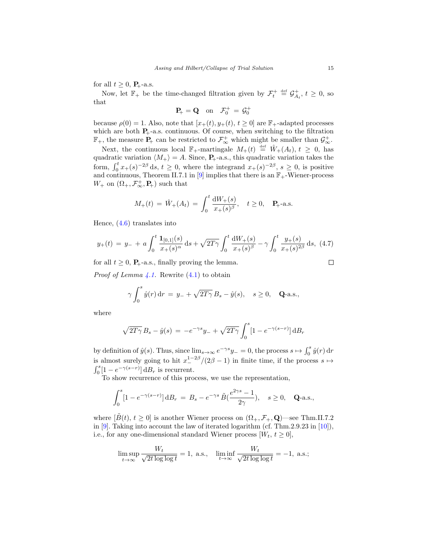for all  $t \geq 0$ ,  $P_{+}$ -a.s.

Now, let  $\mathbb{F}_+$  be the time-changed filtration given by  $\mathcal{F}_t^+ \stackrel{\text{def}}{=} \mathcal{G}_{A_t}^+, t \geq 0$ , so that

$$
\mathbf{P}_{\!+} = \mathbf{Q} \quad \text{on} \quad \mathcal{F}_{0}^{+} = \mathcal{G}_{0}^{+}
$$

because  $\rho(0) = 1$ . Also, note that  $[x_+(t), y_+(t), t \geq 0]$  are  $\mathbb{F}_+$ -adapted processes which are both  $P_+$ -a.s. continuous. Of course, when switching to the filtration  $\mathbb{F}_+$ , the measure  $P_+$  can be restricted to  $\mathcal{F}^+_{\infty}$  which might be smaller than  $\mathcal{G}^+_{\infty}$ .

Next, the continuous local  $\mathbb{F}_{+}$ -martingale  $M_{+}(t) \stackrel{\text{def}}{=} \hat{W}_{+}(A_t), t \geq 0$ , has quadratic variation  $\langle M_+ \rangle = A$ . Since,  $P_+$ -a.s., this quadratic variation takes the form,  $\int_0^t x_+(s)^{-2\beta} ds, t \geq 0$ , where the integrand  $x_+(s)^{-2\beta}, s \geq 0$ , is positive and continuous, Theorem II.7.1 in [\[9\]](#page-26-12) implies that there is an  $\mathbb{F}_+$ -Wiener-process  $W_+$  on  $(\Omega_+, \mathcal{F}_{\infty}^+, \mathbf{P}_+)$  such that

$$
M_{+}(t) = \hat{W}_{+}(A_t) = \int_0^t \frac{dW_{+}(s)}{x_{+}(s)^{\beta}}, \quad t \ge 0, \quad \mathbf{P}_{+} \text{-a.s.}
$$

Hence, [\(4.6\)](#page-14-1) translates into

<span id="page-15-0"></span>
$$
y_{+}(t) = y_{-} + a \int_{0}^{t} \frac{\mathbf{1}_{[0,1]}(s)}{x_{+}(s)^{\alpha}} ds + \sqrt{2T\gamma} \int_{0}^{t} \frac{dW_{+}(s)}{x_{+}(s)^{\beta}} - \gamma \int_{0}^{t} \frac{y_{+}(s)}{x_{+}(s)^{2\beta}} ds, (4.7)
$$

for all  $t \geq 0$ ,  $P_+$ -a.s., finally proving the lemma. *Proof of Lemma [4.1.](#page-12-3)* Rewrite  $(4.1)$  to obtain

$$
\gamma \int_0^s \hat{y}(r) dr = y_- + \sqrt{2T\gamma} B_s - \hat{y}(s), \quad s \ge 0, \quad \mathbf{Q}\text{-a.s.},
$$

where

$$
\sqrt{2T\gamma} B_s - \hat{y}(s) = -e^{-\gamma s} y_- + \sqrt{2T\gamma} \int_0^s [1 - e^{-\gamma(s-r)}] \, \mathrm{d}B_r
$$

by definition of  $\hat{y}(s)$ . Thus, since  $\lim_{s\to\infty} e^{-\gamma s}y_-=0$ , the process  $s\mapsto \int_0^s \hat{y}(r) dr$ is almost surely going to hit  $x_{-}^{1-2\beta}/(2\beta-1)$  in finite time, if the process  $s \mapsto$  $\int_0^s [1 - e^{-\gamma(s-r)}] dB_r$  is recurrent.

To show recurrence of this process, we use the representation,

$$
\int_0^s [1 - e^{-\gamma(s-r)}] d B_r = B_s - e^{-\gamma s} \tilde{B}(\frac{e^{2\gamma s} - 1}{2\gamma}), \quad s \ge 0, \quad \mathbf{Q}\text{-a.s.},
$$

where  $[\tilde{B}(t), t \geq 0]$  is another Wiener process on  $(\Omega_+, \mathcal{F}_+, \mathbf{Q})$ —see Thm.II.7.2 in [\[9\]](#page-26-12). Taking into account the law of iterated logarithm (cf. Thm.2.9.23 in [\[10\]](#page-26-11)), i.e., for any one-dimensional standard Wiener process  $[W_t, t \geq 0]$ ,

$$
\limsup_{t \to \infty} \frac{W_t}{\sqrt{2t \log \log t}} = 1, \text{ a.s., } \liminf_{t \to \infty} \frac{W_t}{\sqrt{2t \log \log t}} = -1, \text{ a.s.};
$$

 $\Box$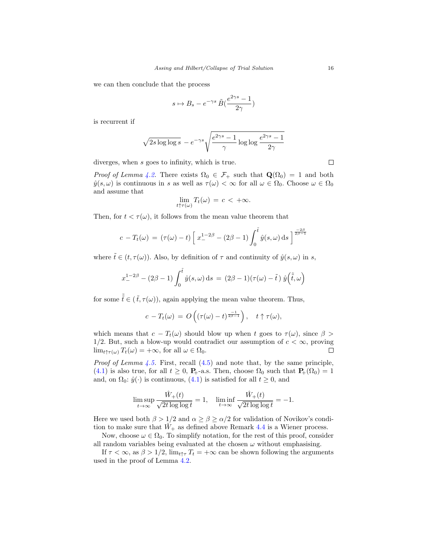we can then conclude that the process

$$
s \mapsto B_s - e^{-\gamma s} \tilde{B}(\frac{e^{2\gamma s} - 1}{2\gamma})
$$

is recurrent if

$$
\sqrt{2s \log \log s} - e^{-\gamma s} \sqrt{\frac{e^{2\gamma s} - 1}{\gamma} \log \log \frac{e^{2\gamma s} - 1}{2\gamma}}
$$

diverges, when s goes to infinity, which is true.

*Proof of Lemma [4.2.](#page-13-0)* There exists  $\Omega_0 \in \mathcal{F}_+$  such that  $\mathbf{Q}(\Omega_0) = 1$  and both  $\hat{y}(s,\omega)$  is continuous in s as well as  $\tau(\omega) < \infty$  for all  $\omega \in \Omega_0$ . Choose  $\omega \in \Omega_0$ and assume that

$$
\lim_{t \uparrow \tau(\omega)} T_t(\omega) = c < +\infty.
$$

Then, for  $t < \tau(\omega)$ , it follows from the mean value theorem that

$$
c - T_t(\omega) = (\tau(\omega) - t) \left[ x_{-}^{1-2\beta} - (2\beta - 1) \int_0^{\tilde{t}} \hat{y}(s, \omega) ds \right]^{\frac{-2\beta}{2\beta - 1}}
$$

where  $\tilde{t} \in (t, \tau(\omega))$ . Also, by definition of  $\tau$  and continuity of  $\hat{y}(s, \omega)$  in s,

$$
x_{-}^{1-2\beta} - (2\beta - 1) \int_0^{\tilde{t}} \hat{y}(s,\omega) ds = (2\beta - 1)(\tau(\omega) - \tilde{t}) \hat{y}(\tilde{\tilde{t}}, \omega)
$$

for some  $\tilde{\tilde{t}} \in (\tilde{t}, \tau(\omega))$ , again applying the mean value theorem. Thus,

$$
c - T_t(\omega) = O\left((\tau(\omega) - t)^{\frac{-1}{2\beta - 1}}\right), \quad t \uparrow \tau(\omega),
$$

which means that  $c - T_t(\omega)$  should blow up when t goes to  $\tau(\omega)$ , since  $\beta >$ 1/2. But, such a blow-up would contradict our assumption of  $c < \infty$ , proving  $\lim_{t\uparrow\tau(\omega)}T_t(\omega)=+\infty$ , for all  $\omega\in\Omega_0$ .  $\Box$ 

*Proof of Lemma [4.5.](#page-14-0)* First, recall  $(4.5)$  and note that, by the same principle, [\(4.1\)](#page-12-2) is also true, for all  $t \geq 0$ ,  $P_+$ -a.s. Then, choose  $\Omega_0$  such that  $P_+(\Omega_0) = 1$ and, on  $\Omega_0: \hat{y}(\cdot)$  is continuous,  $(4.1)$  is satisfied for all  $t \geq 0$ , and

$$
\limsup_{t \to \infty} \frac{\hat{W}_+(t)}{\sqrt{2t \log \log t}} = 1, \quad \liminf_{t \to \infty} \frac{\hat{W}_+(t)}{\sqrt{2t \log \log t}} = -1.
$$

Here we used both  $\beta > 1/2$  and  $\alpha \ge \beta \ge \alpha/2$  for validation of Novikov's condition to make sure that  $\hat{W}_+$  as defined above Remark [4.4](#page-14-3) is a Wiener process.

Now, choose  $\omega \in \Omega_0$ . To simplify notation, for the rest of this proof, consider all random variables being evaluated at the chosen  $\omega$  without emphasising.

If  $\tau < \infty$ , as  $\beta > 1/2$ ,  $\lim_{t \uparrow \tau} T_t = +\infty$  can be shown following the arguments used in the proof of Lemma [4.2.](#page-13-0)

 $\Box$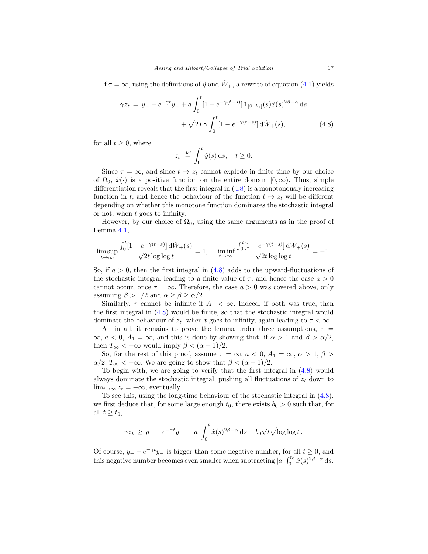If  $\tau = \infty$ , using the definitions of  $\hat{y}$  and  $\hat{W}_+$ , a rewrite of equation [\(4.1\)](#page-12-2) yields

$$
\gamma z_t = y_- - e^{-\gamma t} y_- + a \int_0^t [1 - e^{-\gamma(t-s)}] \mathbf{1}_{[0,A_1]}(s) \hat{x}(s)^{2\beta - \alpha} ds + \sqrt{2T\gamma} \int_0^t [1 - e^{-\gamma(t-s)}] d\hat{W}_+(s), \tag{4.8}
$$

for all  $t \geq 0$ , where

<span id="page-17-0"></span>
$$
z_t \stackrel{\text{def}}{=} \int_0^t \hat{y}(s) \, \mathrm{d} s, \quad t \ge 0.
$$

Since  $\tau = \infty$ , and since  $t \mapsto z_t$  cannot explode in finite time by our choice of  $\Omega_0, \hat{x}(\cdot)$  is a positive function on the entire domain  $[0, \infty)$ . Thus, simple differentiation reveals that the first integral in [\(4.8\)](#page-17-0) is a monotonously increasing function in t, and hence the behaviour of the function  $t \mapsto z_t$  will be different depending on whether this monotone function dominates the stochastic integral or not, when t goes to infinity.

However, by our choice of  $\Omega_0$ , using the same arguments as in the proof of Lemma [4.1,](#page-12-3)

$$
\limsup_{t\to\infty}\frac{\int_0^t[1-e^{-\gamma(t-s)}]\,\mathrm{d}\hat{W}_+(s)}{\sqrt{2t\log\log t}}=1,\quad \liminf_{t\to\infty}\frac{\int_0^t[1-e^{-\gamma(t-s)}]\,\mathrm{d}\hat{W}_+(s)}{\sqrt{2t\log\log t}}=-1.
$$

So, if  $a > 0$ , then the first integral in  $(4.8)$  adds to the upward-fluctuations of the stochastic integral leading to a finite value of  $\tau$ , and hence the case  $a > 0$ cannot occur, once  $\tau = \infty$ . Therefore, the case  $a > 0$  was covered above, only assuming  $\beta > 1/2$  and  $\alpha \geq \beta \geq \alpha/2$ .

Similarly,  $\tau$  cannot be infinite if  $A_1 < \infty$ . Indeed, if both was true, then the first integral in [\(4.8\)](#page-17-0) would be finite, so that the stochastic integral would dominate the behaviour of  $z_t$ , when t goes to infinity, again leading to  $\tau < \infty$ .

All in all, it remains to prove the lemma under three assumptions,  $\tau =$  $\infty$ ,  $a < 0$ ,  $A_1 = \infty$ , and this is done by showing that, if  $\alpha > 1$  and  $\beta > \alpha/2$ , then  $T_{\infty} < +\infty$  would imply  $\beta < (\alpha + 1)/2$ .

So, for the rest of this proof, assume  $\tau = \infty$ ,  $a < 0$ ,  $A_1 = \infty$ ,  $\alpha > 1$ ,  $\beta >$  $\alpha/2$ ,  $T_{\infty}$  < + $\infty$ . We are going to show that  $\beta < (\alpha + 1)/2$ .

To begin with, we are going to verify that the first integral in [\(4.8\)](#page-17-0) would always dominate the stochastic integral, pushing all fluctuations of  $z_t$  down to  $\lim_{t\to\infty} z_t = -\infty$ , eventually.

To see this, using the long-time behaviour of the stochastic integral in [\(4.8\)](#page-17-0), we first deduce that, for some large enough  $t_0$ , there exists  $b_0 > 0$  such that, for all  $t \geq t_0$ ,

$$
\gamma z_t \geq y_- - e^{-\gamma t} y_- - |a| \int_0^t \hat{x}(s)^{2\beta - \alpha} ds - b_0 \sqrt{t} \sqrt{\log \log t}.
$$

Of course,  $y = -e^{-\gamma t}y =$  is bigger than some negative number, for all  $t \ge 0$ , and this negative number becomes even smaller when subtracting  $|a| \int_0^{t_0} \hat{x}(s)^{2\beta-\alpha} ds$ .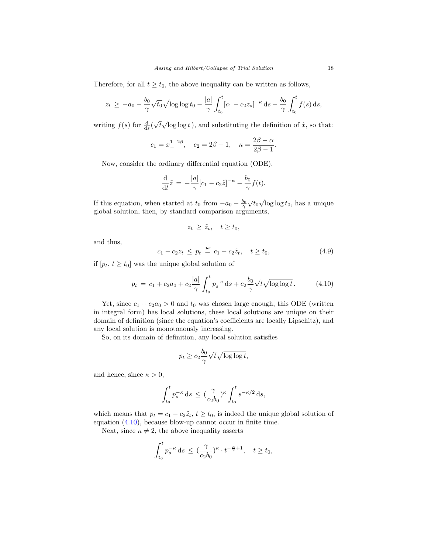Therefore, for all  $t \geq t_0$ , the above inequality can be written as follows,

$$
z_t \ge -a_0 - \frac{b_0}{\gamma} \sqrt{t_0} \sqrt{\log \log t_0} - \frac{|a|}{\gamma} \int_{t_0}^t [c_1 - c_2 z_s]^{-\kappa} ds - \frac{b_0}{\gamma} \int_{t_0}^t f(s) ds,
$$

writing  $f(s)$  for  $\frac{d}{ds}($ √  $\overline{t}\sqrt{\log \log t}$ ), and substituting the definition of  $\hat{x}$ , so that:

$$
c_1 = x_{-}^{1-2\beta}
$$
,  $c_2 = 2\beta - 1$ ,  $\kappa = \frac{2\beta - \alpha}{2\beta - 1}$ 

Now, consider the ordinary differential equation (ODE),

$$
\frac{\mathrm{d}}{\mathrm{d}t}\tilde{z} = -\frac{|a|}{\gamma}[c_1 - c_2\tilde{z}]^{-\kappa} - \frac{b_0}{\gamma}f(t).
$$

If this equation, when started at  $t_0$  from  $-a_0 - b_0$  $\sqrt{t_0} \sqrt{\log \log t_0}$ , has a unique global solution, then, by standard comparison arguments,

$$
z_t \geq \tilde{z}_t, \quad t \geq t_0,
$$

and thus,

<span id="page-18-1"></span>
$$
c_1 - c_2 z_t \le p_t \stackrel{\text{def}}{=} c_1 - c_2 \tilde{z}_t, \quad t \ge t_0,
$$
\n(4.9)

.

if  $[p_t, t \geq t_0]$  was the unique global solution of

<span id="page-18-0"></span>
$$
p_t = c_1 + c_2 a_0 + c_2 \frac{|a|}{\gamma} \int_{t_0}^t p_s^{-\kappa} ds + c_2 \frac{b_0}{\gamma} \sqrt{t} \sqrt{\log \log t} . \tag{4.10}
$$

Yet, since  $c_1 + c_2 a_0 > 0$  and  $t_0$  was chosen large enough, this ODE (written in integral form) has local solutions, these local solutions are unique on their domain of definition (since the equation's coefficients are locally Lipschitz), and any local solution is monotonously increasing.

So, on its domain of definition, any local solution satisfies

$$
p_t \ge c_2 \frac{b_0}{\gamma} \sqrt{t} \sqrt{\log \log t},
$$

and hence, since  $\kappa > 0$ ,

$$
\int_{t_0}^t p_s^{-\kappa} ds \, \leq \, (\frac{\gamma}{c_2b_0})^{\kappa} \int_{t_0}^t s^{-\kappa/2} ds,
$$

which means that  $p_t = c_1 - c_2 \tilde{z}_t$ ,  $t \ge t_0$ , is indeed the unique global solution of equation [\(4.10\)](#page-18-0), because blow-up cannot occur in finite time.

Next, since  $\kappa \neq 2$ , the above inequality asserts

$$
\int_{t_0}^t p_s^{-\kappa} ds \, \leq \, (\frac{\gamma}{c_2 b_0})^{\kappa} \cdot t^{-\frac{\kappa}{2}+1}, \quad t \geq t_0,
$$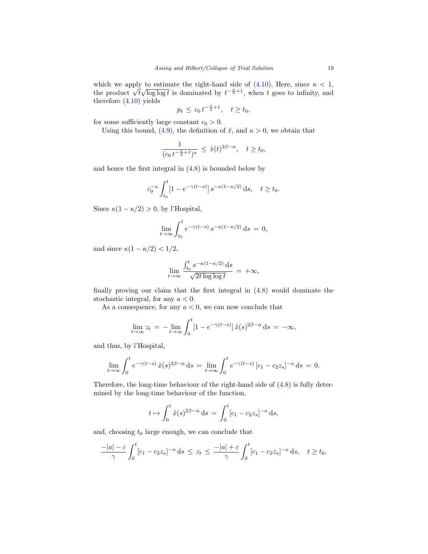which we apply to estimate the right-hand side of  $(4.10)$ . Here, since  $\kappa < 1$ , which we apply to estimate the right-hand side or (4.10). Here, since  $\kappa < 1$ , the product  $\sqrt{t}\sqrt{\log \log t}$  is dominated by  $t^{-\frac{\kappa}{2}+1}$ , when t goes to infinity, and therefore [\(4.10\)](#page-18-0) yields

$$
p_t \leq c_0 t^{-\frac{\kappa}{2}+1}, \quad t \geq t_0,
$$

for some sufficiently large constant  $c_0 > 0$ .

Using this bound, [\(4.9\)](#page-18-1), the definition of  $\hat{x}$ , and  $\kappa > 0$ , we obtain that

$$
\frac{1}{(c_0 t^{-\frac{\kappa}{2}+1})^{\kappa}} \,\leq\, \hat{x}(t)^{2\beta-\alpha}, \quad t\geq t_0,
$$

and hence the first integral in [\(4.8\)](#page-17-0) is bounded below by

$$
c_0^{-\kappa} \int_{t_0}^t \left[1 - e^{-\gamma(t-s)}\right] s^{-\kappa(1-\kappa/2)} \, \mathrm{d} s, \quad t \ge t_0.
$$

Since  $\kappa(1 - \kappa/2) > 0$ , by l'Hospital,

$$
\lim_{t \to \infty} \int_{t_0}^t e^{-\gamma(t-s)} s^{-\kappa(1-\kappa/2)} ds = 0,
$$

and since  $\kappa(1 - \kappa/2) < 1/2$ ,

$$
\lim_{t \to \infty} \frac{\int_{t_0}^t s^{-\kappa(1-\kappa/2)} \,\mathrm{d} s}{\sqrt{2t \log \log t}} = +\infty,
$$

finally proving our claim that the first integral in [\(4.8\)](#page-17-0) would dominate the stochastic integral, for any  $a < 0$ .

As a consequence, for any  $a < 0$ , we can now conclude that

$$
\lim_{t \to \infty} z_t = - \lim_{t \to \infty} \int_0^t [1 - e^{-\gamma(t - s)}] \hat{x}(s)^{2\beta - \alpha} ds = -\infty,
$$

and thus, by l'Hospital,

$$
\lim_{t \to \infty} \int_0^t e^{-\gamma(t-s)} \hat{x}(s)^{2\beta - \alpha} ds = \lim_{t \to \infty} \int_0^t e^{-\gamma(t-s)} [c_1 - c_2 z_s]^{-\kappa} ds = 0.
$$

Therefore, the long-time behaviour of the right-hand side of [\(4.8\)](#page-17-0) is fully determined by the long-time behaviour of the function,

$$
t \mapsto \int_0^t \hat{x}(s)^{2\beta - \alpha} ds = \int_0^t [c_1 - c_2 z_s]^{-\kappa} ds,
$$

and, choosing  $t_0$  large enough, we can conclude that

$$
\frac{-|a|-\varepsilon}{\gamma}\int_0^t[c_1-c_2z_s]^{-\kappa}\,\mathrm{d}s\,\leq\,z_t\,\leq\,\frac{-|a|+\varepsilon}{\gamma}\int_0^t[c_1-c_2z_s]^{-\kappa}\,\mathrm{d}s,\quad t\geq t_0,
$$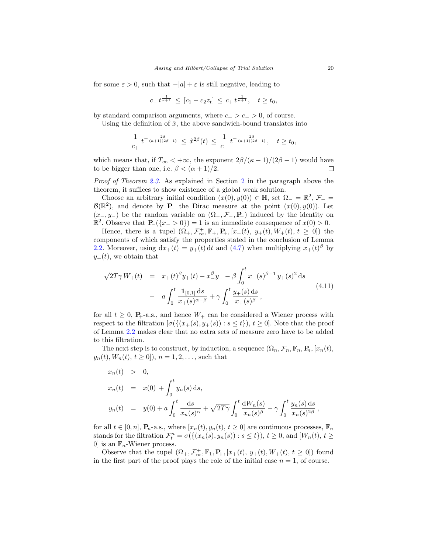for some  $\varepsilon > 0$ , such that  $-|a| + \varepsilon$  is still negative, leading to

$$
c_- t^{\frac{1}{\kappa+1}} \leq [c_1 - c_2 z_t] \leq c_+ t^{\frac{1}{\kappa+1}}, \quad t \geq t_0,
$$

by standard comparison arguments, where  $c_{+} > c_{-} > 0$ , of course.

Using the definition of  $\hat{x}$ , the above sandwich-bound translates into

$$
\frac{1}{c_+} \, t^{- \frac{2\beta}{(\kappa+1)(2\beta-1)}}\, \leq \, \hat{x}^{2\beta}(t)\, \leq \, \frac{1}{c_-}\, t^{- \frac{2\beta}{(\kappa+1)(2\beta-1)}}, \quad t\geq t_0,
$$

which means that, if  $T_{\infty} < +\infty$ , the exponent  $2\beta/(\kappa+1)/(2\beta-1)$  would have to be bigger than one, i.e.  $\beta < (\alpha + 1)/2$ .  $\Box$ 

Proof of Theorem [2.3.](#page-8-0) As explained in Section [2](#page-6-2) in the paragraph above the theorem, it suffices to show existence of a global weak solution.

Choose an arbitrary initial condition  $(x(0), y(0)) \in \mathbb{H}$ , set  $\Omega = \mathbb{R}^2$ ,  $\mathcal{F}_ \mathcal{B}(\mathbb{R}^2)$ , and denote by **P**\_ the Dirac measure at the point  $(x(0), y(0))$ . Let  $(x_-, y_-)$  be the random variable on  $(\Omega_-, \mathcal{F}_-, \mathbf{P}_-)$  induced by the identity on  $\mathbb{R}^2$ . Observe that  $\mathbf{P}$ −({x− > 0}) = 1 is an immediate consequence of  $x(0) > 0$ .

Hence, there is a tupel  $(\Omega_+, \mathcal{F}_{\infty}^+, \mathbb{F}_+, P_+, [x_+(t), y_+(t), W_+(t), t \ge 0])$  the components of which satisfy the properties stated in the conclusion of Lemma [2.2.](#page-7-2) Moreover, using  $dx_+(t) = y_+(t) dt$  and  $(4.7)$  when multiplying  $x_+(t)^{\beta}$  by  $y_{+}(t)$ , we obtain that

<span id="page-20-0"></span>
$$
\sqrt{2T\gamma} W_{+}(t) = x_{+}(t)^{\beta} y_{+}(t) - x_{-}^{\beta} y_{-} - \beta \int_{0}^{t} x_{+}(s)^{\beta - 1} y_{+}(s)^{2} ds
$$
  

$$
- a \int_{0}^{t} \frac{\mathbf{1}_{[0,1]} ds}{x_{+}(s)^{\alpha - \beta}} + \gamma \int_{0}^{t} \frac{y_{+}(s) ds}{x_{+}(s)^{\beta}},
$$
(4.11)

for all  $t \geq 0$ ,  $P_+$ -a.s., and hence  $W_+$  can be considered a Wiener process with respect to the filtration  $[\sigma({(x_+(s), y_+(s)) : s \le t}), t \ge 0]$ . Note that the proof of Lemma [2.2](#page-7-2) makes clear that no extra sets of measure zero have to be added to this filtration.

The next step is to construct, by induction, a sequence  $(\Omega_n, \mathcal{F}_n, \mathbb{F}_n, \mathbb{P}_n, [x_n(t)]$ ,  $y_n(t), W_n(t), t \ge 0$ ,  $n = 1, 2, \ldots$ , such that

$$
x_n(t) > 0,
$$
  
\n
$$
x_n(t) = x(0) + \int_0^t y_n(s) ds,
$$
  
\n
$$
y_n(t) = y(0) + a \int_0^t \frac{ds}{x_n(s)^{\alpha}} + \sqrt{2T\gamma} \int_0^t \frac{dW_n(s)}{x_n(s)^{\beta}} - \gamma \int_0^t \frac{y_n(s) ds}{x_n(s)^{2\beta}},
$$

for all  $t \in [0, n]$ ,  $\mathbf{P}_n$ -a.s., where  $[x_n(t), y_n(t), t \geq 0]$  are continuous processes,  $\mathbb{F}_n$ stands for the filtration  $\mathcal{F}_t^n = \sigma(\{(x_n(s), y_n(s)) : s \le t\}), t \ge 0$ , and  $[W_n(t), t \ge 0]$ 0 is an  $\mathbb{F}_n$ -Wiener process.

Observe that the tupel  $(\Omega_+, \mathcal{F}_{\infty}^+, \mathbb{F}_1, \mathbf{P}_+, [x_+(t), y_+(t), W_+(t), t \geq 0])$  found in the first part of the proof plays the role of the initial case  $n = 1$ , of course.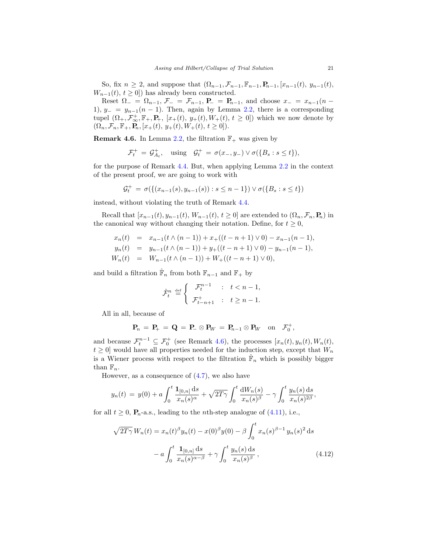So, fix  $n \ge 2$ , and suppose that  $(\Omega_{n-1}, \mathcal{F}_{n-1}, \mathbb{F}_{n-1}, \mathbb{P}_{n-1}, [x_{n-1}(t), y_{n-1}(t),$  $W_{n-1}(t), t \geq 0$ ) has already been constructed.

Reset  $\Omega_{-} = \Omega_{n-1}$ ,  $\mathcal{F}_{-} = \mathcal{F}_{n-1}$ ,  $P_{-} = P_{n-1}$ , and choose  $x_{-} = x_{n-1}(n -$ 1),  $y_ - = y_{n-1}(n-1)$ . Then, again by Lemma [2.2,](#page-7-2) there is a corresponding tupel  $(\Omega_+, \mathcal{F}_{\infty}^+, \mathbb{F}_+, \mathbf{P}_+, [x_+(t), y_+(t), W_+(t), t \geq 0])$  which we now denote by  $(\Omega_n, \mathcal{F}_n, \mathbb{F}_+, \mathbf{P}_n, [x_+(t), y_+(t), W_+(t), t \geq 0]).$ 

<span id="page-21-0"></span>**Remark 4.6.** In Lemma [2.2,](#page-7-2) the filtration  $\mathbb{F}_+$  was given by

$$
\mathcal{F}_t^+ = \mathcal{G}_{A_t}^+, \quad \text{using} \quad \mathcal{G}_t^+ = \sigma(x_-, y_-) \vee \sigma(\{B_s : s \le t\}),
$$

for the purpose of Remark [4.4.](#page-14-3) But, when applying Lemma [2.2](#page-7-2) in the context of the present proof, we are going to work with

$$
\mathcal{G}_t^+ = \sigma(\{(x_{n-1}(s), y_{n-1}(s)) : s \le n-1\}) \vee \sigma(\{B_s : s \le t\})
$$

instead, without violating the truth of Remark [4.4.](#page-14-3)

Recall that  $[x_{n-1}(t), y_{n-1}(t), W_{n-1}(t), t \ge 0]$  are extended to  $(\Omega_n, \mathcal{F}_n, \mathbf{P}_n)$  in the canonical way without changing their notation. Define, for  $t \geq 0$ ,

$$
x_n(t) = x_{n-1}(t \wedge (n-1)) + x_+((t - n + 1) \vee 0) - x_{n-1}(n-1),
$$
  
\n
$$
y_n(t) = y_{n-1}(t \wedge (n-1)) + y_+((t - n + 1) \vee 0) - y_{n-1}(n-1),
$$
  
\n
$$
W_n(t) = W_{n-1}(t \wedge (n-1)) + W_+((t - n + 1) \vee 0),
$$

and build a filtration  $\hat{\mathbb{F}}_n$  from both  $\mathbb{F}_{n-1}$  and  $\mathbb{F}_+$  by

$$
\hat{\mathcal{F}}_t^n \stackrel{\text{def}}{=} \left\{ \begin{array}{ll} \mathcal{F}_t^{n-1} & : \quad t < n-1, \\ \mathcal{F}_{t-n+1}^+ & : \quad t \geq n-1. \end{array} \right.
$$

All in all, because of

$$
\mathbf{P}_n = \mathbf{P}_+ = \mathbf{Q} = \mathbf{P}_-\otimes \mathbf{P}_W = \mathbf{P}_{n-1}\otimes \mathbf{P}_W \text{ on } \mathcal{F}_0^+,
$$

and because  $\mathcal{F}_t^{n-1} \subseteq \mathcal{F}_0^+$  (see Remark [4.6\)](#page-21-0), the processes  $[x_n(t), y_n(t), W_n(t),$  $t \geq 0$  would have all properties needed for the induction step, except that  $W_n$ is a Wiener process with respect to the filtration  $\hat{\mathbb{F}}_n$  which is possibly bigger than  $\mathbb{F}_n$ .

However, as a consequence of [\(4.7\)](#page-15-0), we also have

$$
y_n(t) = y(0) + a \int_0^t \frac{\mathbf{1}_{[0,n]} \, \mathrm{d}s}{x_n(s)^\alpha} + \sqrt{2T\gamma} \int_0^t \frac{\mathrm{d}W_n(s)}{x_n(s)^\beta} - \gamma \int_0^t \frac{y_n(s) \, \mathrm{d}s}{x_n(s)^{2\beta}},
$$

for all  $t \geq 0$ ,  $P_n$ -a.s., leading to the *n*th-step analogue of [\(4.11\)](#page-20-0), i.e.,

<span id="page-21-1"></span>
$$
\sqrt{2T\gamma} W_n(t) = x_n(t)^{\beta} y_n(t) - x(0)^{\beta} y(0) - \beta \int_0^t x_n(s)^{\beta - 1} y_n(s)^2 ds
$$

$$
- a \int_0^t \frac{\mathbf{1}_{[0,n]} ds}{x_n(s)^{\alpha - \beta}} + \gamma \int_0^t \frac{y_n(s) ds}{x_n(s)^{\beta}}, \tag{4.12}
$$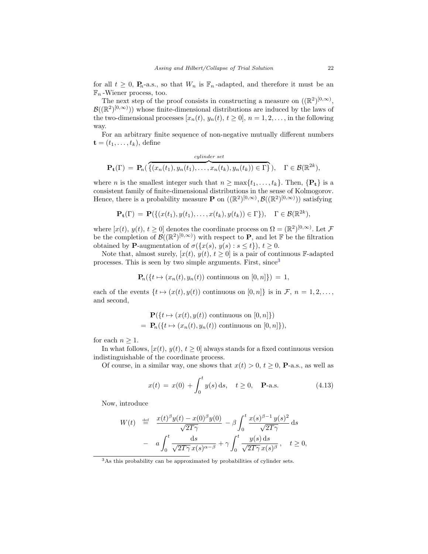for all  $t \geq 0$ ,  $P_n$ -a.s., so that  $W_n$  is  $\mathbb{F}_n$ -adapted, and therefore it must be an  $\mathbb{F}_n$ -Wiener process, too.

The next step of the proof consists in constructing a measure on  $((\mathbb{R}^2)^{[0,\infty)},$  $\mathcal{B}((\mathbb{R}^2)^{[0,\infty)}$ ) whose finite-dimensional distributions are induced by the laws of the two-dimensional processes  $[x_n(t), y_n(t), t \ge 0], n = 1, 2, \ldots$ , in the following way.

For an arbitrary finite sequence of non-negative mutually different numbers  $\mathbf{t} = (t_1, \ldots, t_k)$ , define

$$
\mathbf{P}_{\mathbf{t}}(\Gamma) = \mathbf{P}_n(\overbrace{\{(x_n(t_1), y_n(t_1), \ldots, x_n(t_k), y_n(t_k)) \in \Gamma\}}^{cylinder\ set}), \quad \Gamma \in \mathcal{B}(\mathbb{R}^{2k}),
$$

where *n* is the smallest integer such that  $n \ge \max\{t_1, \ldots, t_k\}$ . Then,  $\{P_t\}$  is a consistent family of finite-dimensional distributions in the sense of Kolmogorov. Hence, there is a probability measure **P** on  $((\mathbb{R}^2)^{[0,\infty)}, \mathcal{B}((\mathbb{R}^2)^{[0,\infty)}))$  satisfying

$$
\mathbf{P}_{\mathbf{t}}(\Gamma) = \mathbf{P}(\{(x(t_1), y(t_1), \dots, x(t_k), y(t_k)) \in \Gamma\}), \quad \Gamma \in \mathcal{B}(\mathbb{R}^{2k}),
$$

where  $[x(t), y(t), t \ge 0]$  denotes the coordinate process on  $\Omega = (\mathbb{R}^2)^{[0,\infty)}$ . Let  $\mathcal F$ be the completion of  $\mathcal{B}((\mathbb{R}^2)^{[0,\infty)})$  with respect to **P**, and let **F** be the filtration obtained by **P**-augmentation of  $\sigma({x(s), y(s) : s \le t}), t \ge 0$ .

Note that, almost surely,  $[x(t), y(t), t \ge 0]$  is a pair of continuous F-adapted processes. This is seen by two simple arguments. First, since<sup>[3](#page-22-0)</sup>

$$
\mathbf{P}_n({t \mapsto (x_n(t), y_n(t)) \text{ continuous on } [0, n]}) = 1,
$$

each of the events  $\{t \mapsto (x(t), y(t))$  continuous on  $[0, n]\}$  is in F,  $n = 1, 2, \ldots$ , and second,

$$
\mathbf{P}(\{t \mapsto (x(t), y(t)) \text{ continuous on } [0, n]\})
$$
  
=  $\mathbf{P}_n(\{t \mapsto (x_n(t), y_n(t)) \text{ continuous on } [0, n]\}),$ 

for each  $n \geq 1$ .

In what follows,  $[x(t), y(t), t \geq 0]$  always stands for a fixed continuous version indistinguishable of the coordinate process.

Of course, in a similar way, one shows that  $x(t) > 0$ ,  $t \ge 0$ , **P**-a.s., as well as

<span id="page-22-1"></span>
$$
x(t) = x(0) + \int_0^t y(s) \, ds, \quad t \ge 0, \quad \mathbf{P}\text{-a.s.}
$$
 (4.13)

Now, introduce

$$
W(t) \stackrel{\text{def}}{=} \frac{x(t)^{\beta}y(t) - x(0)^{\beta}y(0)}{\sqrt{2T\gamma}} - \beta \int_0^t \frac{x(s)^{\beta - 1}y(s)^2}{\sqrt{2T\gamma}} ds
$$

$$
- a \int_0^t \frac{ds}{\sqrt{2T\gamma}x(s)^{\alpha - \beta}} + \gamma \int_0^t \frac{y(s) ds}{\sqrt{2T\gamma}x(s)^{\beta}}, \quad t \ge 0,
$$

<span id="page-22-0"></span><sup>&</sup>lt;sup>3</sup>As this probability can be approximated by probabilities of cylinder sets.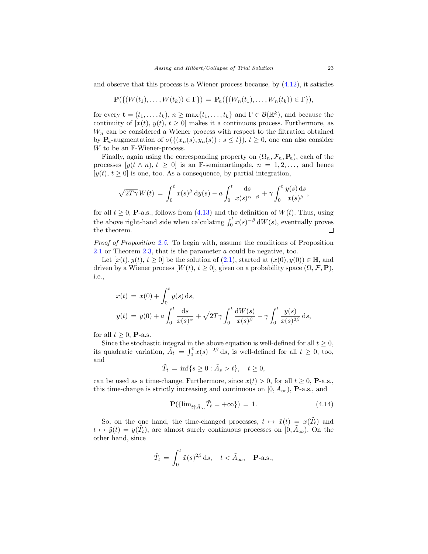and observe that this process is a Wiener process because, by  $(4.12)$ , it satisfies

$$
\mathbf{P}(\{(W(t_1),...,W(t_k))\in\Gamma\}) = \mathbf{P}_n(\{(W_n(t_1),...,W_n(t_k))\in\Gamma\}),
$$

for every  $\mathbf{t} = (t_1, \ldots, t_k), n \ge \max\{t_1, \ldots, t_k\}$  and  $\Gamma \in \mathcal{B}(\mathbb{R}^k)$ , and because the continuity of  $[x(t), y(t), t \ge 0]$  makes it a continuous process. Furthermore, as  $W_n$  can be considered a Wiener process with respect to the filtration obtained by  $P_n$ -augmentation of  $\sigma(\{(x_n(s), y_n(s)) : s \le t\})$ ,  $t \ge 0$ , one can also consider W to be an F-Wiener-process.

Finally, again using the corresponding property on  $(\Omega_n, \mathcal{F}_n, \mathbf{P}_n)$ , each of the processes  $[y(t \wedge n), t \geq 0]$  is an F-semimartingale,  $n = 1, 2, ...,$  and hence  $[y(t), t \geq 0]$  is one, too. As a consequence, by partial integration,

$$
\sqrt{2T\gamma} W(t) = \int_0^t x(s)^\beta dy(s) - a \int_0^t \frac{ds}{x(s)^{\alpha-\beta}} + \gamma \int_0^t \frac{y(s) ds}{x(s)^\beta},
$$

for all  $t \geq 0$ , **P**-a.s., follows from [\(4.13\)](#page-22-1) and the definition of  $W(t)$ . Thus, using the above right-hand side when calculating  $\int_0^t x(s)^{-\beta} dW(s)$ , eventually proves the theorem.  $\Box$ 

Proof of Proposition [2.5.](#page-9-1) To begin with, assume the conditions of Proposition [2.1](#page-7-1) or Theorem [2.3,](#page-8-0) that is the parameter a could be negative, too.

Let  $[x(t), y(t), t \ge 0]$  be the solution of  $(2.1)$ , started at  $(x(0), y(0)) \in \mathbb{H}$ , and driven by a Wiener process  $[W(t), t \geq 0]$ , given on a probability space  $(\Omega, \mathcal{F}, \mathbf{P})$ , i.e.,

$$
x(t) = x(0) + \int_0^t y(s) ds,
$$
  

$$
y(t) = y(0) + a \int_0^t \frac{ds}{x(s)^{\alpha}} + \sqrt{2T\gamma} \int_0^t \frac{dW(s)}{x(s)^{\beta}} - \gamma \int_0^t \frac{y(s)}{x(s)^{2\beta}} ds,
$$

for all  $t \geq 0$ , **P**-a.s.

Since the stochastic integral in the above equation is well-defined for all  $t \geq 0$ , its quadratic variation,  $\tilde{A}_t = \int_0^t x(s)^{-2\beta} ds$ , is well-defined for all  $t \geq 0$ , too, and

$$
\tilde{T}_t = \inf\{s \ge 0 : \tilde{A}_s > t\}, \quad t \ge 0,
$$

can be used as a time-change. Furthermore, since  $x(t) > 0$ , for all  $t \ge 0$ , **P**-a.s., this time-change is strictly increasing and continuous on  $[0, A_{\infty})$ , **P**-a.s., and

<span id="page-23-0"></span>
$$
\mathbf{P}(\{\lim_{t \uparrow \tilde{A}_{\infty}} \tilde{T}_t = +\infty\}) = 1. \tag{4.14}
$$

So, on the one hand, the time-changed processes,  $t \mapsto \tilde{x}(t) = x(\tilde{T}_t)$  and  $t \mapsto \tilde{y}(t) = y(\tilde{T}_t)$ , are almost surely continuous processes on  $[0, \tilde{A}_{\infty})$ . On the other hand, since

$$
\tilde{T}_t = \int_0^t \tilde{x}(s)^{2\beta} \, \mathrm{d}s, \quad t < \tilde{A}_{\infty}, \quad \mathbf{P}\text{-a.s.},
$$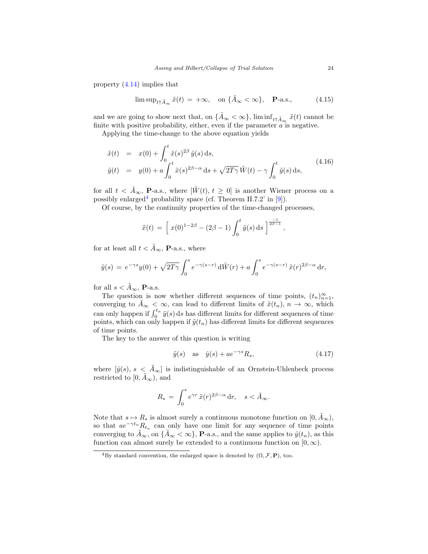property [\(4.14\)](#page-23-0) implies that

<span id="page-24-1"></span>
$$
\limsup_{t \uparrow \tilde{A}_{\infty}} \tilde{x}(t) = +\infty, \quad \text{on } \{\tilde{A}_{\infty} < \infty\}, \quad \mathbf{P}\text{-a.s.}, \tag{4.15}
$$

and we are going to show next that, on  $\{\tilde{A}_{\infty} < \infty\}$ ,  $\liminf_{t \uparrow \tilde{A}_{\infty}} \tilde{x}(t)$  cannot be finite with positive probability, either, even if the parameter  $\alpha$  is negative.

Applying the time-change to the above equation yields

<span id="page-24-3"></span>
$$
\tilde{x}(t) = x(0) + \int_0^t \tilde{x}(s)^{2\beta} \tilde{y}(s) ds,\n\tilde{y}(t) = y(0) + a \int_0^t \tilde{x}(s)^{2\beta - \alpha} ds + \sqrt{2T\gamma} \tilde{W}(t) - \gamma \int_0^t \tilde{y}(s) ds,
$$
\n(4.16)

for all  $t < \tilde{A}_{\infty}$ , **P**-a.s., where  $[\tilde{W}(t), t \geq 0]$  is another Wiener process on a possibly enlarged<sup>[4](#page-24-0)</sup> probability space (cf. Theorem II.7.2' in  $[9]$ ).

Of course, by the continuity properties of the time-changed processes,

$$
\tilde{x}(t) = \left[ x(0)^{1-2\beta} - (2\beta - 1) \int_0^t \tilde{y}(s) ds \right]^{\frac{-1}{2\beta - 1}},
$$

for at least all  $t < \tilde{A}_{\infty}$ , **P**-a.s., where

$$
\tilde{y}(s) = e^{-\gamma s} y(0) + \sqrt{2T\gamma} \int_0^s e^{-\gamma(s-r)} d\tilde{W}(r) + a \int_0^s e^{-\gamma(s-r)} \tilde{x}(r)^{2\beta-\alpha} dr,
$$

for all  $s < \tilde{A}_{\infty}$ , **P**-a.s.

The question is now whether different sequences of time points,  $(t_n)_{n=1}^{\infty}$ , converging to  $\tilde{A}_{\infty} < \infty$ , can lead to different limits of  $\tilde{x}(t_n)$ ,  $n \to \infty$ , which can only happen if  $\int_0^{t_n} \tilde{y}(s) ds$  has different limits for different sequences of time points, which can only happen if  $\tilde{y}(t_n)$  has different limits for different sequences of time points.

The key to the answer of this question is writing

<span id="page-24-2"></span>
$$
\tilde{y}(s) \quad \text{as} \quad \hat{y}(s) + a e^{-\gamma s} R_s,\tag{4.17}
$$

where  $[\hat{y}(s), s < \tilde{A}_{\infty}]$  is indistinguishable of an Ornstein-Uhlenbeck process restricted to  $[0, \tilde{A}_{\infty})$ , and

$$
R_s = \int_0^s e^{\gamma r} \, \tilde{x}(r)^{2\beta - \alpha} \, \mathrm{d}r, \quad s < \tilde{A}_{\infty}.
$$

Note that  $s \mapsto R_s$  is almost surely a continuous monotone function on  $[0, \tilde{A}_{\infty}),$ so that  $ae^{-\gamma t_n}R_{t_n}$  can only have one limit for any sequence of time points converging to  $\tilde{A}_{\infty}$ , on  $\{\tilde{A}_{\infty} < \infty\}$ , **P**-a.s., and the same applies to  $\hat{y}(t_n)$ , as this function can almost surely be extended to a continuous function on  $[0, \infty)$ .

<span id="page-24-0"></span><sup>&</sup>lt;sup>4</sup>By standard convention, the enlarged space is denoted by  $(\Omega, \mathcal{F}, P)$ , too.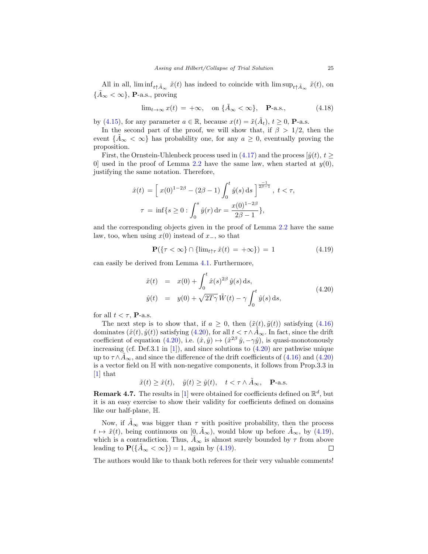All in all,  $\liminf_{t \uparrow \tilde{A}_{\infty}} \tilde{x}(t)$  has indeed to coincide with  $\limsup_{t \uparrow \tilde{A}_{\infty}} \tilde{x}(t)$ , on  $\{\tilde{A}_{\infty} < \infty\}$ , **P**-a.s., proving

<span id="page-25-0"></span>
$$
\lim_{t \to \infty} x(t) = +\infty, \quad \text{on } \{\tilde{A}_{\infty} < \infty\}, \quad \mathbf{P}\text{-a.s.},\tag{4.18}
$$

by [\(4.15\)](#page-24-1), for any parameter  $a \in \mathbb{R}$ , because  $x(t) = \tilde{x}(\tilde{A}_t)$ ,  $t \ge 0$ , **P**-a.s.

In the second part of the proof, we will show that, if  $\beta > 1/2$ , then the event  $\{A_{\infty} < \infty\}$  has probability one, for any  $a \geq 0$ , eventually proving the proposition.

First, the Ornstein-Uhlenbeck process used in  $(4.17)$  and the process  $\left[\hat{y}(t), t\right]$ 0] used in the proof of Lemma [2.2](#page-7-2) have the same law, when started at  $y(0)$ , justifying the same notation. Therefore,

$$
\hat{x}(t) = \left[ x(0)^{1-2\beta} - (2\beta - 1) \int_0^t \hat{y}(s) ds \right]^{\frac{-1}{2\beta - 1}}, \ t < \tau,
$$
  

$$
\tau = \inf \{ s \ge 0 : \int_0^s \hat{y}(r) dr = \frac{x(0)^{1-2\beta}}{2\beta - 1} \},
$$

and the corresponding objects given in the proof of Lemma [2.2](#page-7-2) have the same law, too, when using  $x(0)$  instead of  $x_$ , so that

<span id="page-25-2"></span>
$$
\mathbf{P}(\{\tau < \infty\} \cap \{\lim_{t \uparrow \tau} \hat{x}(t) = +\infty\}) = 1 \tag{4.19}
$$

can easily be derived from Lemma [4.1.](#page-12-3) Furthermore,

<span id="page-25-1"></span>
$$
\hat{x}(t) = x(0) + \int_0^t \hat{x}(s)^{2\beta} \hat{y}(s) ds,\n\hat{y}(t) = y(0) + \sqrt{2T\gamma} \tilde{W}(t) - \gamma \int_0^t \hat{y}(s) ds,
$$
\n(4.20)

for all  $t < \tau$ , **P**-a.s.

The next step is to show that, if  $a \geq 0$ , then  $(\tilde{x}(t), \tilde{y}(t))$  satisfying [\(4.16\)](#page-24-3) dominates  $(\hat{x}(t), \hat{y}(t))$  satisfying  $(4.20)$ , for all  $t < \tau \wedge \tilde{A}_{\infty}$ . In fact, since the drift coefficient of equation  $(4.20)$ , i.e.  $(\hat{x}, \hat{y}) \mapsto (\hat{x}^{2\beta} \hat{y}, -\gamma \hat{y})$ , is quasi-monotonously increasing (cf. Def.3.1 in [\[1\]](#page-26-13)), and since solutions to  $(4.20)$  are pathwise unique up to  $\tau \wedge \tilde{A}_{\infty}$ , and since the difference of the drift coefficients of [\(4.16\)](#page-24-3) and [\(4.20\)](#page-25-1) is a vector field on H with non-negative components, it follows from Prop.3.3 in [\[1\]](#page-26-13) that

$$
\tilde{x}(t) \ge \hat{x}(t), \quad \tilde{y}(t) \ge \hat{y}(t), \quad t < \tau \wedge \tilde{A}_{\infty}, \quad \mathbf{P}\text{-a.s.}
$$

**Remark 4.7.** The results in [\[1\]](#page-26-13) were obtained for coefficients defined on  $\mathbb{R}^d$ , but it is an easy exercise to show their validity for coefficients defined on domains like our half-plane, H.

Now, if  $\tilde{A}_{\infty}$  was bigger than  $\tau$  with positive probability, then the process  $t \mapsto \tilde{x}(t)$ , being continuous on  $[0, \tilde{A}_{\infty})$ , would blow up before  $\tilde{A}_{\infty}$ , by [\(4.19\)](#page-25-2), which is a contradiction. Thus,  $A_{\infty}$  is almost surely bounded by  $\tau$  from above leading to  $\mathbf{P}(\{A_{\infty} < \infty\}) = 1$ , again by [\(4.19\)](#page-25-2).  $\Box$ 

The authors would like to thank both referees for their very valuable comments!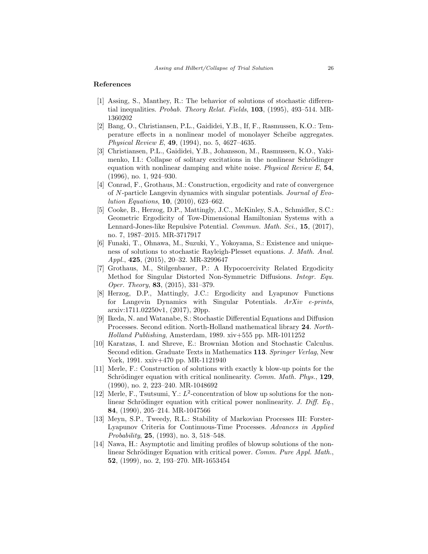### References

- <span id="page-26-13"></span>[1] Assing, S., Manthey, R.: The behavior of solutions of stochastic differential inequalities. Probab. Theory Relat. Fields, 103, (1995), 493–514. MR-1360202
- <span id="page-26-1"></span>[2] Bang, O., Christiansen, P.L., Gaididei, Y.B., If, F., Rasmussen, K.O.: Temperature effects in a nonlinear model of monolayer Scheibe aggregates. Physical Review E, 49, (1994), no. 5, 4627–4635.
- <span id="page-26-0"></span>[3] Christiansen, P.L., Gaididei, Y.B., Johansson, M., Rasmussen, K.O., Yakimenko, I.I.: Collapse of solitary excitations in the nonlinear Schrödinger equation with nonlinear damping and white noise. Physical Review  $E$ , 54, (1996), no. 1, 924–930.
- <span id="page-26-5"></span>[4] Conrad, F., Grothaus, M.: Construction, ergodicity and rate of convergence of N-particle Langevin dynamics with singular potentials. Journal of Evolution Equations, 10, (2010), 623–662.
- <span id="page-26-6"></span>[5] Cooke, B., Herzog, D.P., Mattingly, J.C., McKinley, S.A., Schmidler, S.C.: Geometric Ergodicity of Tow-Dimensional Hamiltonian Systems with a Lennard-Jones-like Repulsive Potential. Commun. Math. Sci., 15, (2017), no. 7, 1987–2015. MR-3717917
- <span id="page-26-7"></span>[6] Funaki, T., Ohnawa, M., Suzuki, Y., Yokoyama, S.: Existence and uniqueness of solutions to stochastic Rayleigh-Plesset equations. J. Math. Anal. Appl., 425, (2015), 20–32. MR-3299647
- <span id="page-26-8"></span>[7] Grothaus, M., Stilgenbauer, P.: A Hypocoercivity Related Ergodicity Method for Singular Distorted Non-Symmetric Diffusions. Integr. Equ. Oper. Theory, 83, (2015), 331–379.
- <span id="page-26-9"></span>[8] Herzog, D.P., Mattingly, J.C.: Ergodicity and Lyapunov Functions for Langevin Dynamics with Singular Potentials. ArXiv e-prints, arxiv:1711.02250v1, (2017), 20pp.
- <span id="page-26-12"></span>[9] Ikeda, N. and Watanabe, S.: Stochastic Differential Equations and Diffusion Processes. Second edition. North-Holland mathematical library 24. North-Holland Publishing, Amsterdam, 1989. xiv+555 pp. MR-1011252
- <span id="page-26-11"></span>[10] Karatzas, I. and Shreve, E.: Brownian Motion and Stochastic Calculus. Second edition. Graduate Texts in Mathematics 113. Springer Verlag, New York, 1991. xxiv+470 pp. MR-1121940
- <span id="page-26-2"></span>[11] Merle, F.: Construction of solutions with exactly k blow-up points for the Schrödinger equation with critical nonlinearity. Comm. Math. Phys., 129, (1990), no. 2, 223–240. MR-1048692
- <span id="page-26-3"></span>[12] Merle, F., Tsutsumi, Y.:  $L^2$ -concentration of blow up solutions for the nonlinear Schrödinger equation with critical power nonlinearity. J. Diff. Eq., 84, (1990), 205–214. MR-1047566
- <span id="page-26-10"></span>[13] Meyn, S.P., Tweedy, R.L.: Stability of Markovian Processes III: Forster-Lyapunov Criteria for Continuous-Time Processes. Advances in Applied Probability, 25, (1993), no. 3, 518–548.
- <span id="page-26-4"></span>[14] Nawa, H.: Asymptotic and limiting profiles of blowup solutions of the nonlinear Schrödinger Equation with critical power. Comm. Pure Appl. Math., 52, (1999), no. 2, 193–270. MR-1653454